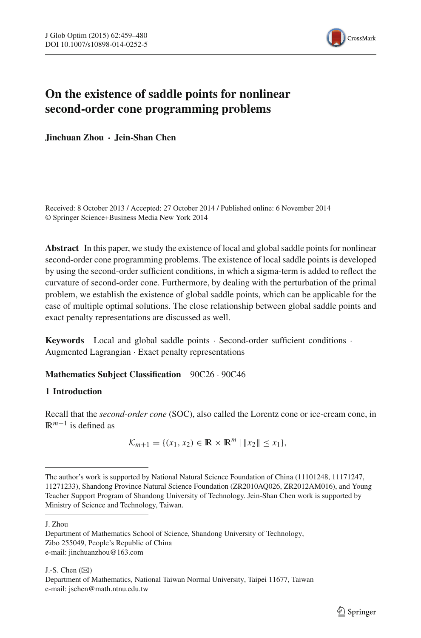

# **On the existence of saddle points for nonlinear second-order cone programming problems**

**Jinchuan Zhou · Jein-Shan Chen**

Received: 8 October 2013 / Accepted: 27 October 2014 / Published online: 6 November 2014 © Springer Science+Business Media New York 2014

**Abstract** In this paper, we study the existence of local and global saddle points for nonlinear second-order cone programming problems. The existence of local saddle points is developed by using the second-order sufficient conditions, in which a sigma-term is added to reflect the curvature of second-order cone. Furthermore, by dealing with the perturbation of the primal problem, we establish the existence of global saddle points, which can be applicable for the case of multiple optimal solutions. The close relationship between global saddle points and exact penalty representations are discussed as well.

**Keywords** Local and global saddle points · Second-order sufficient conditions · Augmented Lagrangian · Exact penalty representations

## **Mathematics Subject Classification** 90C26 · 90C46

## **1 Introduction**

Recall that the *second-order cone* (SOC), also called the Lorentz cone or ice-cream cone, in  $\mathbb{R}^{m+1}$  is defined as

$$
\mathcal{K}_{m+1} = \{(x_1, x_2) \in \mathbb{R} \times \mathbb{R}^m \mid ||x_2|| \le x_1\},\
$$

J. Zhou

J.-S. Chen  $(\boxtimes)$ Department of Mathematics, National Taiwan Normal University, Taipei 11677, Taiwan e-mail: jschen@math.ntnu.edu.tw

The author's work is supported by National Natural Science Foundation of China (11101248, 11171247, 11271233), Shandong Province Natural Science Foundation (ZR2010AQ026, ZR2012AM016), and Young Teacher Support Program of Shandong University of Technology. Jein-Shan Chen work is supported by Ministry of Science and Technology, Taiwan.

Department of Mathematics School of Science, Shandong University of Technology, Zibo 255049, People's Republic of China e-mail: jinchuanzhou@163.com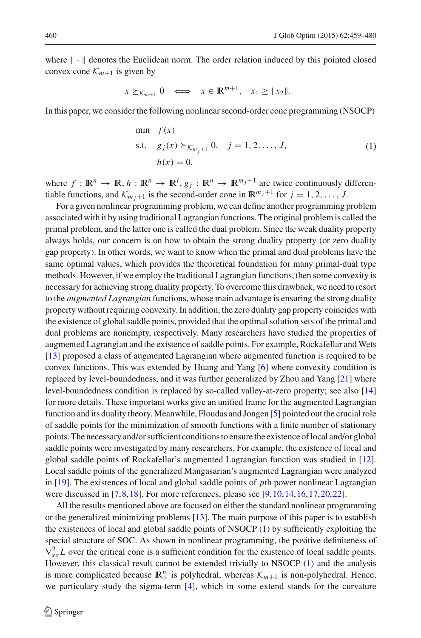where  $\|\cdot\|$  denotes the Euclidean norm. The order relation induced by this pointed closed convex cone  $K_{m+1}$  is given by

$$
x \succeq_{\mathcal{K}_{m+1}} 0 \iff x \in \mathbb{R}^{m+1}, \quad x_1 \geq \|x_2\|.
$$

<span id="page-1-0"></span>In this paper, we consider the following nonlinear second-order cone programming (NSOCP)

min 
$$
f(x)
$$
  
s.t.  $g_j(x) \ge \kappa_{m_j+1} 0$ ,  $j = 1, 2, ..., J$ ,  
 $h(x) = 0$ , (1)

where  $f : \mathbb{R}^n \to \mathbb{R}, h : \mathbb{R}^n \to \mathbb{R}^l, g_j : \mathbb{R}^n \to \mathbb{R}^{m_j+1}$  are twice continuously differentiable functions, and  $K_{m,j+1}$  is the second-order cone in  $\mathbb{R}^{m_j+1}$  for  $j = 1, 2, ..., J$ .

For a given nonlinear programming problem, we can define another programming problem associated with it by using traditional Lagrangian functions. The original problem is called the primal problem, and the latter one is called the dual problem. Since the weak duality property always holds, our concern is on how to obtain the strong duality property (or zero duality gap property). In other words, we want to know when the primal and dual problems have the same optimal values, which provides the theoretical foundation for many primal-dual type methods. However, if we employ the traditional Lagrangian functions, then some convexity is necessary for achieving strong duality property. To overcome this drawback, we need to resort to the *augmented Lagrangian* functions, whose main advantage is ensuring the strong duality property without requiring convexity. In addition, the zero duality gap property coincides with the existence of global saddle points, provided that the optimal solution sets of the primal and dual problems are nonempty, respectively. Many researchers have studied the properties of augmented Lagrangian and the existence of saddle points. For example, Rockafellar and Wets [\[13\]](#page-20-0) proposed a class of augmented Lagrangian where augmented function is required to be convex functions. This was extended by Huang and Yang [\[6](#page-20-1)] where convexity condition is replaced by level-boundedness, and it was further generalized by Zhou and Yang [\[21\]](#page-21-0) where level-boundedness condition is replaced by so-called valley-at-zero property; see also [\[14\]](#page-20-2) for more details. These important works give an unified frame for the augmented Lagrangian function and its duality theory. Meanwhile, Floudas and Jongen [\[5](#page-20-3)] pointed out the crucial role of saddle points for the minimization of smooth functions with a finite number of stationary points. The necessary and/or sufficient conditions to ensure the existence of local and/or global saddle points were investigated by many researchers. For example, the existence of local and global saddle points of Rockafellar's augmented Lagrangian function was studied in [\[12\]](#page-20-4). Local saddle points of the generalized Mangasarian's augmented Lagrangian were analyzed in [\[19](#page-21-1)]. The existences of local and global saddle points of *p*th power nonlinear Lagrangian were discussed in [\[7](#page-20-5)[,8](#page-20-6)[,18\]](#page-21-2). For more references, please see [\[9,](#page-20-7)[10](#page-20-8)[,14,](#page-20-2)[16](#page-20-9)[,17](#page-21-3)[,20](#page-21-4),[22](#page-21-5)].

All the results mentioned above are focused on either the standard nonlinear programming or the generalized minimizing problems [\[13](#page-20-0)]. The main purpose of this paper is to establish the existences of local and global saddle points of NSOCP [\(1\)](#page-1-0) by sufficiently exploiting the special structure of SOC. As shown in nonlinear programming, the positive definiteness of  $\nabla_{xx}^2 L$  over the critical cone is a sufficient condition for the existence of local saddle points. However, this classical result cannot be extended trivially to NSOCP [\(1\)](#page-1-0) and the analysis is more complicated because  $\mathbb{R}^n_+$  is polyhedral, whereas  $\mathcal{K}_{m+1}$  is non-polyhedral. Hence, we particulary study the sigma-term [\[4\]](#page-20-10), which in some extend stands for the curvature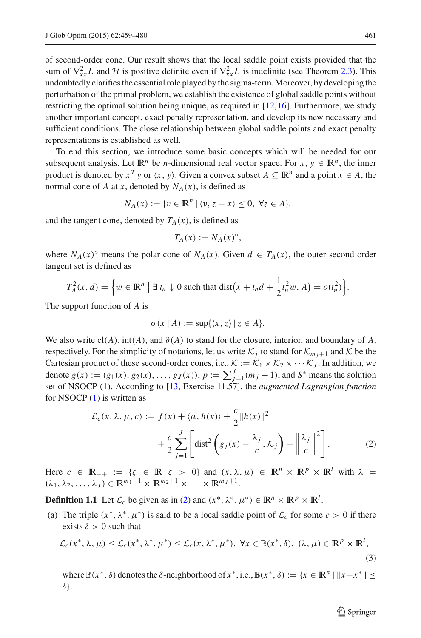of second-order cone. Our result shows that the local saddle point exists provided that the sum of  $\nabla_{xx}^2 L$  and  $\mathcal H$  is positive definite even if  $\nabla_{xx}^2 L$  is indefinite (see Theorem [2.3\)](#page-8-0). This undoubtedly clarifies the essential role played by the sigma-term.Moreover, by developing the perturbation of the primal problem, we establish the existence of global saddle points without restricting the optimal solution being unique, as required in [\[12,](#page-20-4)[16](#page-20-9)]. Furthermore, we study another important concept, exact penalty representation, and develop its new necessary and sufficient conditions. The close relationship between global saddle points and exact penalty representations is established as well.

To end this section, we introduce some basic concepts which will be needed for our subsequent analysis. Let  $\mathbb{R}^n$  be *n*-dimensional real vector space. For  $x, y \in \mathbb{R}^n$ , the inner product is denoted by  $x^T y$  or  $\langle x, y \rangle$ . Given a convex subset  $A \subseteq \mathbb{R}^n$  and a point  $x \in A$ , the normal cone of *A* at *x*, denoted by  $N_A(x)$ , is defined as

$$
N_A(x) := \{ v \in \mathbb{R}^n \mid \langle v, z - x \rangle \leq 0, \ \forall z \in A \},
$$

and the tangent cone, denoted by  $T_A(x)$ , is defined as

$$
T_A(x) := N_A(x)^\circ,
$$

where  $N_A(x)$ <sup>°</sup> means the polar cone of  $N_A(x)$ . Given  $d \in T_A(x)$ , the outer second order tangent set is defined as

$$
T_A^2(x,d) = \left\{ w \in \mathbb{R}^n \mid \exists t_n \downarrow 0 \text{ such that } \text{dist}\big(x+t_nd+\frac{1}{2}t_n^2w,A\big) = o(t_n^2)\right\}.
$$

The support function of *A* is

$$
\sigma(x \mid A) := \sup\{\langle x, z \rangle \mid z \in A\}.
$$

We also write  $cl(A)$ , int(*A*), and  $\partial(A)$  to stand for the closure, interior, and boundary of *A*, respectively. For the simplicity of notations, let us write  $K_j$  to stand for  $K_{m,j+1}$  and  $K$  be the Cartesian product of these second-order cones, i.e.,  $K := \mathcal{K}_1 \times \mathcal{K}_2 \times \cdots \mathcal{K}_J$ . In addition, we denote  $g(x) := (g_1(x), g_2(x), \dots, g_J(x)), p := \sum_{j=1}^J (m_j + 1)$ , and  $S^*$  means the solution set of NSOCP [\(1\)](#page-1-0). According to [\[13](#page-20-0), Exercise 11.57], the *augmented Lagrangian function* for NSOCP [\(1\)](#page-1-0) is written as

$$
\mathcal{L}_c(x, \lambda, \mu, c) := f(x) + \langle \mu, h(x) \rangle + \frac{c}{2} ||h(x)||^2
$$
  
+ 
$$
\frac{c}{2} \sum_{j=1}^J \left[ \text{dist}^2 \left( g_j(x) - \frac{\lambda_j}{c}, \mathcal{K}_j \right) - \left\| \frac{\lambda_j}{c} \right\|^2 \right].
$$
 (2)

<span id="page-2-0"></span>Here  $c \in \mathbb{R}_{++} := \{ \zeta \in \mathbb{R} \mid \zeta > 0 \}$  and  $(x, \lambda, \mu) \in \mathbb{R}^n \times \mathbb{R}^p \times \mathbb{R}^l$  with  $\lambda =$  $(\lambda_1, \lambda_2, \ldots, \lambda_J) \in \mathbb{R}^{m_1+1} \times \mathbb{R}^{m_2+1} \times \cdots \times \mathbb{R}^{m_J+1}.$ 

**Definition 1.1** Let  $\mathcal{L}_c$  be given as in [\(2\)](#page-2-0) and  $(x^*, \lambda^*, \mu^*) \in \mathbb{R}^n \times \mathbb{R}^p \times \mathbb{R}^l$ .

<span id="page-2-1"></span>(a) The triple  $(x^*, \lambda^*, \mu^*)$  is said to be a local saddle point of  $\mathcal{L}_c$  for some  $c > 0$  if there exists  $\delta > 0$  such that

$$
\mathcal{L}_c(x^*, \lambda, \mu) \le \mathcal{L}_c(x^*, \lambda^*, \mu^*) \le \mathcal{L}_c(x, \lambda^*, \mu^*), \ \forall x \in \mathbb{B}(x^*, \delta), \ (\lambda, \mu) \in \mathbb{R}^p \times \mathbb{R}^l,
$$
\n(3)

where  $\mathbb{B}(x^*, \delta)$  denotes the  $\delta$ -neighborhood of  $x^*,$  i.e.,  $\mathbb{B}(x^*, \delta) := \{x \in \mathbb{R}^n \mid ||x - x^*|| \leq \delta\}$ δ}.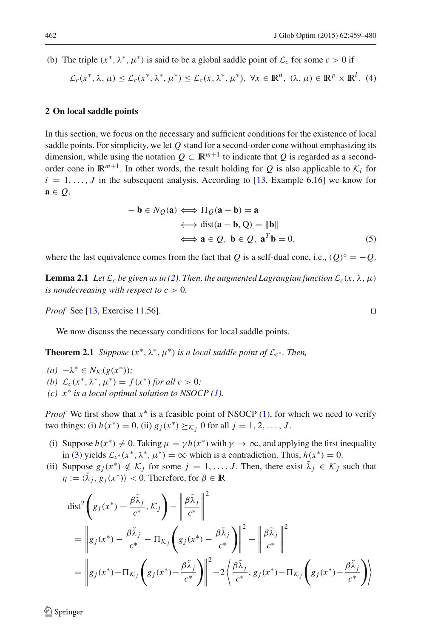<span id="page-3-2"></span>(b) The triple  $(x^*, \lambda^*, \mu^*)$  is said to be a global saddle point of  $\mathcal{L}_c$  for some  $c > 0$  if

$$
\mathcal{L}_c(x^*, \lambda, \mu) \le \mathcal{L}_c(x^*, \lambda^*, \mu^*) \le \mathcal{L}_c(x, \lambda^*, \mu^*), \ \forall x \in \mathbb{R}^n, \ (\lambda, \mu) \in \mathbb{R}^p \times \mathbb{R}^l. \tag{4}
$$

#### **2 On local saddle points**

In this section, we focus on the necessary and sufficient conditions for the existence of local saddle points. For simplicity, we let *Q* stand for a second-order cone without emphasizing its dimension, while using the notation  $Q \subset \mathbb{R}^{m+1}$  to indicate that *Q* is regarded as a secondorder cone in  $\mathbb{R}^{m+1}$ . In other words, the result holding for *Q* is also applicable to  $K_i$  for  $i = 1, \ldots, J$  in the subsequent analysis. According to [\[13](#page-20-0), Example 6.16] we know for **a** ∈ *Q*,

$$
- \mathbf{b} \in N_Q(\mathbf{a}) \iff \Pi_Q(\mathbf{a} - \mathbf{b}) = \mathbf{a}
$$
  
\n
$$
\iff \text{dist}(\mathbf{a} - \mathbf{b}, Q) = \|\mathbf{b}\|
$$
  
\n
$$
\iff \mathbf{a} \in Q, \mathbf{b} \in Q, \mathbf{a}^T \mathbf{b} = 0,
$$
\n(5)

<span id="page-3-4"></span><span id="page-3-1"></span>where the last equivalence comes from the fact that *Q* is a self-dual cone, i.e.,  $(Q)^\circ = -Q$ .

**Lemma 2.1** *Let*  $\mathcal{L}_c$  *be given as in [\(2\)](#page-2-0). Then, the augmented Lagrangian function*  $\mathcal{L}_c(x, \lambda, \mu)$ *is nondecreasing with respect to*  $c > 0$ *.* 

*Proof* See [\[13,](#page-20-0) Exercise 11.56]. □

We now discuss the necessary conditions for local saddle points.

<span id="page-3-3"></span>**Theorem 2.1** *Suppose*  $(x^*, \lambda^*, \mu^*)$  *is a local saddle point of*  $\mathcal{L}_{c^*}$ *. Then,* 

- $(a)$  −λ<sup>\*</sup> ∈ *N*<sub>*K*</sub>( $g(x^*$ ));
- *(b)*  $\mathcal{L}_c(x^*, \lambda^*, \mu^*) = f(x^*)$  *for all c* > 0*;*
- *(c) x*∗ *is a local optimal solution to NSOCP [\(1\)](#page-1-0).*

*Proof* We first show that  $x^*$  is a feasible point of NSOCP [\(1\)](#page-1-0), for which we need to verify two things: (i)  $h(x^*) = 0$ , (ii)  $g_j(x^*) \succeq_{\mathcal{K}_j} 0$  for all  $j = 1, 2, ..., J$ .

- (i) Suppose  $h(x^*) \neq 0$ . Taking  $\mu = \gamma h(x^*)$  with  $\gamma \to \infty$ , and applying the first inequality in [\(3\)](#page-2-1) yields  $\mathcal{L}_{c^*}(x^*, \lambda^*, \mu^*) = \infty$  which is a contradiction. Thus,  $h(x^*) = 0$ .
- <span id="page-3-0"></span>(ii) Suppose  $g_j(x^*) \notin \mathcal{K}_j$  for some  $j = 1, \ldots, J$ . Then, there exist  $\tilde{\lambda}_j \in \mathcal{K}_j$  such that  $\eta := \langle \tilde{\lambda}_i, g_i(x^*) \rangle < 0$ . Therefore, for  $\beta \in \mathbb{R}$

$$
dist^{2}\left(g_{j}(x^{*}) - \frac{\beta \tilde{\lambda}_{j}}{c^{*}}, \mathcal{K}_{j}\right) - \left\|\frac{\beta \tilde{\lambda}_{j}}{c^{*}}\right\|^{2}
$$
  
\n
$$
= \left\|g_{j}(x^{*}) - \frac{\beta \tilde{\lambda}_{j}}{c^{*}} - \Pi_{\mathcal{K}_{j}}\left(g_{j}(x^{*}) - \frac{\beta \tilde{\lambda}_{j}}{c^{*}}\right)\right\|^{2} - \left\|\frac{\beta \tilde{\lambda}_{j}}{c^{*}}\right\|^{2}
$$
  
\n
$$
= \left\|g_{j}(x^{*}) - \Pi_{\mathcal{K}_{j}}\left(g_{j}(x^{*}) - \frac{\beta \tilde{\lambda}_{j}}{c^{*}}\right)\right\|^{2} - 2\left\langle\frac{\beta \tilde{\lambda}_{j}}{c^{*}}, g_{j}(x^{*}) - \Pi_{\mathcal{K}_{j}}\left(g_{j}(x^{*}) - \frac{\beta \tilde{\lambda}_{j}}{c^{*}}\right)\right\rangle
$$

 $\mathcal{L}$  Springer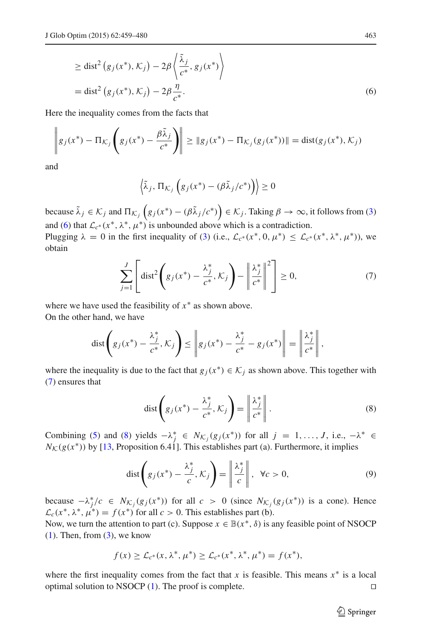$$
\ge \text{dist}^2(g_j(x^*), \mathcal{K}_j) - 2\beta \left\langle \frac{\tilde{\lambda}_j}{c^*}, g_j(x^*) \right\rangle
$$
  
= dist<sup>2</sup>(g\_j(x^\*), \mathcal{K}\_j) - 2\beta \frac{\eta}{c^\*}. (6)

Here the inequality comes from the facts that

$$
\left\|g_j(x^*) - \Pi_{\mathcal{K}_j}\left(g_j(x^*) - \frac{\beta \tilde{\lambda}_j}{c^*}\right)\right\| \ge \|g_j(x^*) - \Pi_{\mathcal{K}_j}(g_j(x^*))\| = \text{dist}(g_j(x^*), \mathcal{K}_j)
$$

and

$$
\left\langle \tilde{\lambda}_j, \, \Pi_{\mathcal{K}_j} \left( g_j(x^*) - (\beta \tilde{\lambda}_j/c^*) \right) \right\rangle \geq 0
$$

because  $\tilde{\lambda}_j \in \mathcal{K}_j$  and  $\Pi_{\mathcal{K}_j}\left(g_j(x^*) - (\beta \tilde{\lambda}_j/c^*)\right) \in \mathcal{K}_j$ . Taking  $\beta \to \infty$ , it follows from [\(3\)](#page-2-1) and [\(6\)](#page-3-0) that  $\mathcal{L}_{c^*}(x^*, \lambda^*, \mu^*)$  is unbounded above which is a contradiction.

Plugging  $\lambda = 0$  in the first inequality of [\(3\)](#page-2-1) (i.e.,  $\mathcal{L}_{c^*}(x^*, 0, \mu^*) \leq \mathcal{L}_{c^*}(x^*, \lambda^*, \mu^*)$ ), we obtain

$$
\sum_{j=1}^{J} \left[ \text{dist}^2 \left( g_j(x^*) - \frac{\lambda_j^*}{c^*}, \mathcal{K}_j \right) - \left\| \frac{\lambda_j^*}{c^*} \right\|^2 \right] \ge 0, \tag{7}
$$

<span id="page-4-0"></span>where we have used the feasibility of *x*∗ as shown above. On the other hand, we have

$$
\text{dist}\left(g_j(x^*) - \frac{\lambda_j^*}{c^*}, \mathcal{K}_j\right) \leq \left\|g_j(x^*) - \frac{\lambda_j^*}{c^*} - g_j(x^*)\right\| = \left\|\frac{\lambda_j^*}{c^*}\right\|,
$$

where the inequality is due to the fact that  $g_j(x^*) \in K_j$  as shown above. This together with [\(7\)](#page-4-0) ensures that

$$
\text{dist}\left(g_j(x^*) - \frac{\lambda_j^*}{c^*}, \mathcal{K}_j\right) = \left\|\frac{\lambda_j^*}{c^*}\right\|.
$$
\n(8)

<span id="page-4-1"></span>Combining [\(5\)](#page-3-1) and [\(8\)](#page-4-1) yields  $-\lambda_j^* \in N_{\mathcal{K}_j}(g_j(x^*))$  for all  $j = 1, ..., J$ , i.e.,  $-\lambda^* \in$  $N_K(g(x^*))$  by [\[13,](#page-20-0) Proposition 6.41]. This establishes part (a). Furthermore, it implies

$$
\text{dist}\left(g_j(x^*) - \frac{\lambda_j^*}{c}, \mathcal{K}_j\right) = \left\|\frac{\lambda_j^*}{c}\right\|, \ \forall c > 0,\tag{9}
$$

<span id="page-4-2"></span>because  $-\lambda_j^*/c$  ∈  $N_{\mathcal{K}_j}(g_j(x^*))$  for all  $c > 0$  (since  $N_{\mathcal{K}_j}(g_j(x^*))$  is a cone). Hence  $\mathcal{L}_c(x^*, \lambda^*, \mu^*) = f(x^*)$  for all  $c > 0$ . This establishes part (b).

Now, we turn the attention to part (c). Suppose  $x \in \mathbb{B}(x^*, \delta)$  is any feasible point of NSOCP  $(1)$ . Then, from  $(3)$ , we know

$$
f(x) \geq \mathcal{L}_{c^*}(x, \lambda^*, \mu^*) \geq \mathcal{L}_{c^*}(x^*, \lambda^*, \mu^*) = f(x^*),
$$

where the first inequality comes from the fact that  $x$  is feasible. This means  $x^*$  is a local optimal solution to NSOCP  $(1)$ . The proof is complete.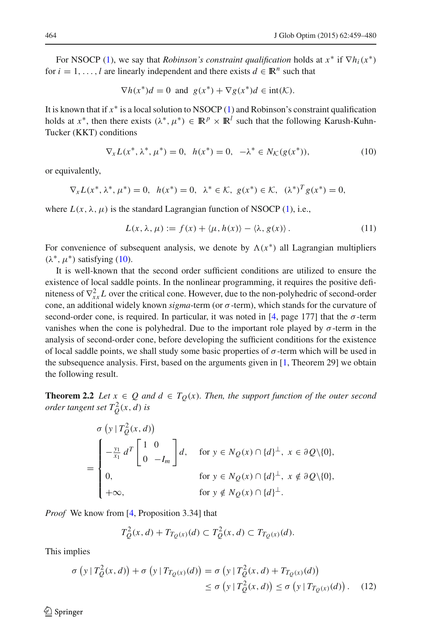For NSOCP [\(1\)](#page-1-0), we say that *Robinson's constraint qualification* holds at  $x^*$  if  $\nabla h_i(x^*)$ for  $i = 1, \ldots, l$  are linearly independent and there exists  $d \in \mathbb{R}^n$  such that

$$
\nabla h(x^*)d = 0 \text{ and } g(x^*) + \nabla g(x^*)d \in \text{int}(\mathcal{K}).
$$

It is known that if *x*∗ is a local solution to NSOCP [\(1\)](#page-1-0) and Robinson's constraint qualification holds at *x*<sup>\*</sup>, then there exists  $(\lambda^*, \mu^*) \in \mathbb{R}^p \times \mathbb{R}^l$  such that the following Karush-Kuhn-Tucker (KKT) conditions

$$
\nabla_x L(x^*, \lambda^*, \mu^*) = 0, \ \ h(x^*) = 0, \ \ -\lambda^* \in N_{\mathcal{K}}(g(x^*)), \tag{10}
$$

<span id="page-5-0"></span>or equivalently,

$$
\nabla_{x} L(x^*, \lambda^*, \mu^*) = 0, \ \ h(x^*) = 0, \ \ \lambda^* \in \mathcal{K}, \ \ g(x^*) \in \mathcal{K}, \ \ (\lambda^*)^T g(x^*) = 0,
$$

<span id="page-5-3"></span>where  $L(x, \lambda, \mu)$  is the standard Lagrangian function of NSOCP [\(1\)](#page-1-0), i.e.,

$$
L(x, \lambda, \mu) := f(x) + \langle \mu, h(x) \rangle - \langle \lambda, g(x) \rangle.
$$
 (11)

For convenience of subsequent analysis, we denote by  $\Lambda(x^*)$  all Lagrangian multipliers  $(\lambda^*, \mu^*)$  satisfying [\(10\)](#page-5-0).

It is well-known that the second order sufficient conditions are utilized to ensure the existence of local saddle points. In the nonlinear programming, it requires the positive definiteness of  $\nabla_{xx}^2 L$  over the critical cone. However, due to the non-polyhedric of second-order cone, an additional widely known *sigma*-term (or σ-term), which stands for the curvature of second-order cone, is required. In particular, it was noted in [\[4](#page-20-10), page 177] that the  $\sigma$ -term vanishes when the cone is polyhedral. Due to the important role played by  $\sigma$ -term in the analysis of second-order cone, before developing the sufficient conditions for the existence of local saddle points, we shall study some basic properties of  $\sigma$ -term which will be used in the subsequence analysis. First, based on the arguments given in [\[1,](#page-20-11) Theorem 29] we obtain the following result.

<span id="page-5-2"></span>**Theorem 2.2** *Let*  $x \in Q$  *and*  $d \in T_Q(x)$ *. Then, the support function of the outer second order tangent set*  $T_Q^2(x, d)$  *is* 

$$
\sigma\left(y \mid T_Q^2(x,d)\right)
$$
\n
$$
= \begin{cases}\n-\frac{y_1}{x_1} d^T \begin{bmatrix} 1 & 0 \\
0 & -I_m \end{bmatrix} d, & \text{for } y \in N_Q(x) \cap \{d\}^\perp, \ x \in \partial Q \setminus \{0\}, \\
0, & \text{for } y \in N_Q(x) \cap \{d\}^\perp, \ x \notin \partial Q \setminus \{0\}, \\
+\infty, & \text{for } y \notin N_Q(x) \cap \{d\}^\perp.\n\end{cases}
$$

*Proof* We know from [\[4,](#page-20-10) Proposition 3.34] that

$$
T_Q^2(x, d) + T_{T_Q(x)}(d) \subset T_Q^2(x, d) \subset T_{T_Q(x)}(d).
$$

<span id="page-5-1"></span>This implies

$$
\sigma\left(y \mid T_Q^2(x,d)\right) + \sigma\left(y \mid T_{T_Q(x)}(d)\right) = \sigma\left(y \mid T_Q^2(x,d) + T_{T_Q(x)}(d)\right)
$$
  

$$
\leq \sigma\left(y \mid T_Q^2(x,d)\right) \leq \sigma\left(y \mid T_{T_Q(x)}(d)\right). \tag{12}
$$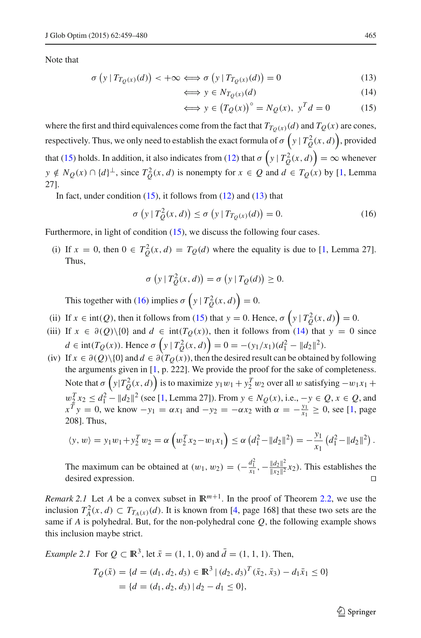<span id="page-6-0"></span>Note that

$$
\sigma\left(y \mid T_{T_Q(x)}(d)\right) < +\infty \Longleftrightarrow \sigma\left(y \mid T_{T_Q(x)}(d)\right) = 0\tag{13}
$$

$$
\iff y \in N_{T_Q(x)}(d) \tag{14}
$$

$$
\iff y \in (T_Q(x))^\circ = N_Q(x), \ y^T d = 0 \tag{15}
$$

where the first and third equivalences come from the fact that  $T_{T_Q(x)}(d)$  and  $T_Q(x)$  are cones, respectively. Thus, we only need to establish the exact formula of  $\sigma\left(y \mid T^2_Q(x,d)\right)$ , provided that [\(15\)](#page-6-0) holds. In addition, it also indicates from [\(12\)](#page-5-1) that  $\sigma\left(y | T_Q^2(x, d)\right) = \infty$  whenever *y* ∉  $N_Q(x) \cap \{d\}^{\perp}$ , since  $T_Q^2(x, d)$  is nonempty for  $x \in Q$  and  $d \in T_Q(x)$  by [\[1,](#page-20-11) Lemma 27].

<span id="page-6-1"></span>In fact, under condition  $(15)$ , it follows from  $(12)$  and  $(13)$  that

$$
\sigma(y | T_Q^2(x, d)) \le \sigma(y | T_{T_Q(x)}(d)) = 0.
$$
\n(16)

Furthermore, in light of condition  $(15)$ , we discuss the following four cases.

(i) If  $x = 0$ , then  $0 \in T_Q^2(x, d) = T_Q(d)$  where the equality is due to [\[1,](#page-20-11) Lemma 27]. Thus,

$$
\sigma\left(y \mid T_Q^2(x,d)\right) = \sigma\left(y \mid T_Q(d)\right) \ge 0.
$$

This together with [\(16\)](#page-6-1) implies  $\sigma\left(y | T_Q^2(x, d)\right) = 0$ .

- (ii) If  $x \in \text{int}(Q)$ , then it follows from [\(15\)](#page-6-0) that  $y = 0$ . Hence,  $\sigma\left(y | T_Q^2(x, d)\right) = 0$ .
- (iii) If  $x \in \partial(Q) \setminus \{0\}$  and  $d \in \text{int}(T_Q(x))$ , then it follows from [\(14\)](#page-6-0) that  $y = 0$  since  $d \in \text{int}(T_Q(x))$ . Hence  $\sigma\left(y \mid T_Q^2(x, d)\right) = 0 = -(y_1/x_1)(d_1^2 - ||d_2||^2)$ .
- (iv) If  $x \in \partial(Q) \setminus \{0\}$  and  $d \in \partial(T_O(x))$ , then the desired result can be obtained by following the arguments given in [\[1](#page-20-11), p. 222]. We provide the proof for the sake of completeness. Note that  $\sigma\left(y|T_Q^2(x,d)\right)$  is to maximize  $y_1w_1 + y_2^Tw_2$  over all w satisfying  $-w_1x_1 +$  $w_2^T x_2 \le d_1^2 - ||d_2||^2$  (see [\[1](#page-20-11), Lemma 27]). From *y* ∈ *N*<sub>Q</sub>(*x*), i.e., −*y* ∈ *Q*, *x* ∈ *Q*, and  $x^T y = 0$ , we know  $-y_1 = \alpha x_1$  and  $-y_2 = -\alpha x_2$  with  $\alpha = -\frac{y_1}{x_1} \ge 0$ , see [\[1,](#page-20-11) page 208]. Thus,

$$
\langle y, w \rangle = y_1 w_1 + y_2^T w_2 = \alpha \left( w_2^T x_2 - w_1 x_1 \right) \leq \alpha \left( d_1^2 - ||d_2||^2 \right) = -\frac{y_1}{x_1} \left( d_1^2 - ||d_2||^2 \right).
$$

The maximum can be obtained at  $(w_1, w_2) = \left(-\frac{d_1^2}{x_1}, -\frac{\|d_2\|^2}{\|x_2\|^2}x_2\right)$ . This establishes the desired expression.  $\Box$ 

*Remark 2.1* Let *A* be a convex subset in  $\mathbb{R}^{m+1}$ . In the proof of Theorem [2.2,](#page-5-2) we use the inclusion  $T_A^2(x, d) \subset T_{T_A(x)}(d)$ . It is known from [\[4](#page-20-10), page 168] that these two sets are the same if *A* is polyhedral. But, for the non-polyhedral cone  $Q$ , the following example shows this inclusion maybe strict.

*Example 2.1* For  $Q \subset \mathbb{R}^3$ , let  $\bar{x} = (1, 1, 0)$  and  $\bar{d} = (1, 1, 1)$ . Then,

$$
T_Q(\bar{x}) = \{d = (d_1, d_2, d_3) \in \mathbb{R}^3 \mid (d_2, d_3)^T(\bar{x}_2, \bar{x}_3) - d_1\bar{x}_1 \le 0\}
$$
  
=  $\{d = (d_1, d_2, d_3) \mid d_2 - d_1 \le 0\},\$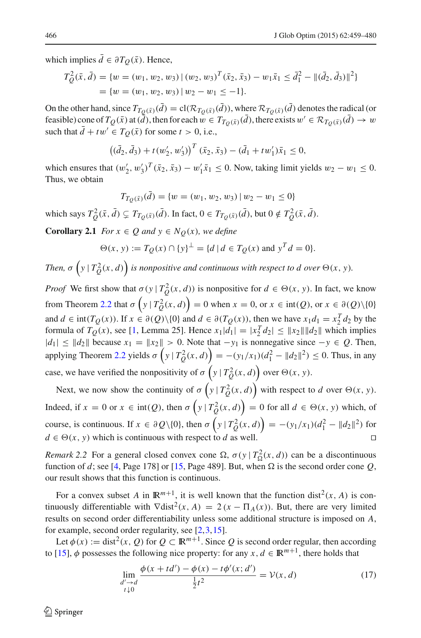which implies  $\bar{d} \in \partial T_Q(\bar{x})$ . Hence,

$$
T_Q^2(\bar{x}, \bar{d}) = \{w = (w_1, w_2, w_3) | (w_2, w_3)^T(\bar{x}_2, \bar{x}_3) - w_1\bar{x}_1 \le \bar{d}_1^2 - ||(\bar{d}_2, \bar{d}_3)||^2\}
$$
  
=  $\{w = (w_1, w_2, w_3) | w_2 - w_1 \le -1\}.$ 

On the other hand, since  $T_{T_O(\bar{x})}(\bar{d}) = cl(\mathcal{R}_{T_O(\bar{x})}(\bar{d}))$ , where  $\mathcal{R}_{T_O(\bar{x})}(\bar{d})$  denotes the radical (or feasible) cone of  $T_Q(\bar{x})$  at  $(\bar{d})$ , then for each  $w \in T_{T_Q(\bar{x})}(\bar{d})$ , there exists  $w' \in \mathcal{R}_{T_Q(\bar{x})}(\bar{d}) \to w$ such that  $\bar{d} + tw' \in T_O(\bar{x})$  for some  $t > 0$ , i.e.,

$$
((\bar{d}_2, \bar{d}_3) + t(w'_2, w'_3))^T (\bar{x}_2, \bar{x}_3) - (\bar{d}_1 + tw'_1)\bar{x}_1 \leq 0,
$$

which ensures that  $(w'_2, w'_3)^T (\bar{x}_2, \bar{x}_3) - w'_1 \bar{x}_1 \le 0$ . Now, taking limit yields  $w_2 - w_1 \le 0$ . Thus, we obtain

$$
T_{T_Q(\bar{x})}(\bar{d}) = \{w = (w_1, w_2, w_3) \mid w_2 - w_1 \le 0\}
$$

which says  $T_Q^2(\bar{x}, \bar{d}) \subsetneq T_{T_Q(\bar{x})}(\bar{d})$ . In fact,  $0 \in T_{T_Q(\bar{x})}(\bar{d})$ , but  $0 \notin T_Q^2(\bar{x}, \bar{d})$ .

<span id="page-7-1"></span>**Corollary 2.1** *For*  $x \in Q$  *and*  $y \in N_Q(x)$ *, we define* 

$$
\Theta(x, y) := T_Q(x) \cap \{y\}^{\perp} = \{d \mid d \in T_Q(x) \text{ and } y^T d = 0\}.
$$

*Then,*  $\sigma\left(y \mid T^2_Q(x,d)\right)$  is nonpositive and continuous with respect to d over  $\Theta(x, y)$ .

*Proof* We first show that  $\sigma(y | T_Q^2(x, d))$  is nonpositive for  $d \in \Theta(x, y)$ . In fact, we know from Theorem [2.2](#page-5-2) that  $\sigma(y | T_Q^2(x, d)) = 0$  when  $x = 0$ , or  $x \in \text{int}(Q)$ , or  $x \in \partial(Q) \setminus \{0\}$ and  $d \in \text{int}(T_Q(x))$ . If  $x \in \partial(Q) \setminus \{0\}$  and  $d \in \partial(T_Q(x))$ , then we have  $x_1 d_1 = x_2^T d_2$  by the formula of  $T_Q(x)$ , see [\[1](#page-20-11), Lemma 25]. Hence  $x_1|d_1| = |x_2|^T d_2| \le ||x_2|| ||d_2||$  which implies  $|d_1|$  ≤  $||d_2||$  because  $x_1 = ||x_2|| > 0$ . Note that  $-y_1$  is nonnegative since  $-y \in Q$ . Then, applying Theorem [2.2](#page-5-2) yields  $\sigma(y | T_Q^2(x, d)) = -(y_1/x_1)(d_1^2 - ||d_2||^2) \le 0$ . Thus, in any case, we have verified the nonpositivity of  $\sigma\left(y | T_Q^2(x, d)\right)$  over  $\Theta(x, y)$ .

Next, we now show the continuity of  $\sigma\left(y | T_Q^2(x, d)\right)$  with respect to *d* over  $\Theta(x, y)$ . Indeed, if  $x = 0$  or  $x \in \text{int}(Q)$ , then  $\sigma\left(y | T_Q^2(x, d)\right) = 0$  for all  $d \in \Theta(x, y)$  which, of course, is continuous. If  $x \in \partial Q \setminus \{0\}$ , then  $\sigma\left(y | T_Q^2(x, d)\right) = -(y_1/x_1)(d_1^2 - ||d_2||^2)$  for  $d \in \Theta(x, y)$  which is continuous with respect to *d* as well.

*Remark* 2.2 For a general closed convex cone  $\Omega$ ,  $\sigma(y | T_{\Omega}^2(x, d))$  can be a discontinuous function of *d*; see [\[4,](#page-20-10) Page 178] or [\[15](#page-20-12), Page 489]. But, when  $\Omega$  is the second order cone *Q*, our result shows that this function is continuous.

For a convex subset *A* in  $\mathbb{R}^{m+1}$ , it is well known that the function dist<sup>2</sup>(*x*, *A*) is continuously differentiable with  $\nabla$ dist<sup>2</sup>(*x*, *A*) = 2(*x* −  $\Pi$ <sub>*A*</sub>(*x*)). But, there are very limited results on second order differentiability unless some additional structure is imposed on *A*, for example, second order regularity, see [\[2](#page-20-13)[,3](#page-20-14)[,15\]](#page-20-12).

<span id="page-7-0"></span>Let  $\phi(x) := \text{dist}^2(x, Q)$  for  $Q \subset \mathbb{R}^{m+1}$ . Since Q is second order regular, then according to [\[15\]](#page-20-12),  $\phi$  possesses the following nice property: for any  $x, d \in \mathbb{R}^{m+1}$ , there holds that

$$
\lim_{\substack{d' \to d \\ t \downarrow 0}} \frac{\phi(x + td') - \phi(x) - t\phi'(x; d')}{\frac{1}{2}t^2} = \mathcal{V}(x, d)
$$
\n(17)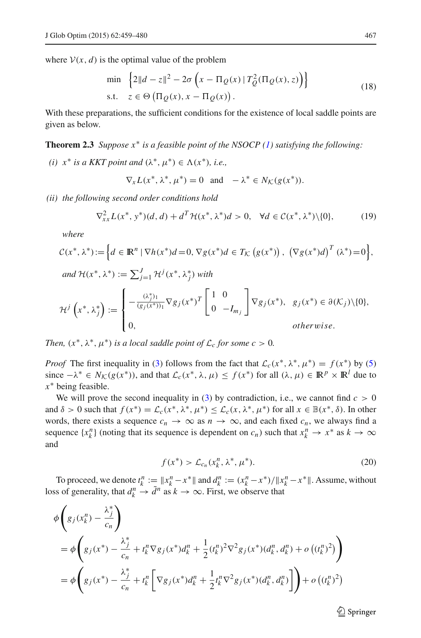<span id="page-8-1"></span>where  $V(x, d)$  is the optimal value of the problem

$$
\min \left\{ 2\|d - z\|^2 - 2\sigma \left( x - \Pi_Q(x) \mid T_Q^2(\Pi_Q(x), z) \right) \right\}
$$
\n
$$
\text{s.t.} \quad z \in \Theta \left( \Pi_Q(x), x - \Pi_Q(x) \right). \tag{18}
$$

<span id="page-8-0"></span>With these preparations, the sufficient conditions for the existence of local saddle points are given as below.

#### **Theorem 2.3** *Suppose x*∗ *is a feasible point of the NSOCP [\(1\)](#page-1-0) satisfying the following:*

*(i)*  $x^*$  *is a KKT point and*  $(\lambda^*, \mu^*) \in \Lambda(x^*)$ *, i.e.,* 

$$
\nabla_x L(x^*, \lambda^*, \mu^*) = 0 \quad \text{and} \quad -\lambda^* \in N_{\mathcal{K}}(g(x^*)).
$$

<span id="page-8-4"></span>*(ii) the following second order conditions hold*

$$
\nabla_{xx}^2 L(x^*, y^*)(d, d) + d^T \mathcal{H}(x^*, \lambda^*)d > 0, \quad \forall d \in \mathcal{C}(x^*, \lambda^*) \setminus \{0\},\tag{19}
$$

*where*

$$
\mathcal{C}(x^*, \lambda^*) := \left\{ d \in \mathbb{R}^n \mid \nabla h(x^*)d = 0, \nabla g(x^*)d \in T_{\mathcal{K}}(g(x^*)) , \left(\nabla g(x^*)d\right)^T (\lambda^*) = 0 \right\},\
$$
  
\nand  $\mathcal{H}(x^*, \lambda^*) := \sum_{j=1}^J \mathcal{H}^j(x^*, \lambda_j^*)$  with  
\n
$$
\mathcal{H}^j\left(x^*, \lambda_j^*\right) := \begin{cases} -\frac{(\lambda_j^*)_1}{(g_j(x^*))_1} \nabla g_j(x^*)^T \begin{bmatrix} 1 & 0\\ 0 & -I_{m_j} \end{bmatrix} \nabla g_j(x^*), g_j(x^*) \in \partial(\mathcal{K}_j) \setminus \{0\},\\ 0, \quad \text{otherwise.} \end{cases}
$$

*Then,*  $(x^*, \lambda^*, \mu^*)$  *is a local saddle point of*  $\mathcal{L}_c$  *for some c* > 0*.* 

*Proof* The first inequality in [\(3\)](#page-2-1) follows from the fact that  $\mathcal{L}_c(x^*, \lambda^*, \mu^*) = f(x^*)$  by [\(5\)](#page-3-1) since  $-\lambda^* \in N_{\mathcal{K}}(g(x^*))$ , and that  $\mathcal{L}_c(x^*, \lambda, \mu) \leq f(x^*)$  for all  $(\lambda, \mu) \in \mathbb{R}^p \times \mathbb{R}^l$  due to *x*∗ being feasible.

We will prove the second inequality in [\(3\)](#page-2-1) by contradiction, i.e., we cannot find  $c > 0$ and  $\delta > 0$  such that  $f(x^*) = \mathcal{L}_c(x^*, \lambda^*, \mu^*) \leq \mathcal{L}_c(x, \lambda^*, \mu^*)$  for all  $x \in \mathbb{B}(x^*, \delta)$ . In other words, there exists a sequence  $c_n \to \infty$  as  $n \to \infty$ , and each fixed  $c_n$ , we always find a sequence  $\{x_k^n\}$  (noting that its sequence is dependent on  $c_n$ ) such that  $x_k^n \to x^*$  as  $k \to \infty$ and

$$
f(x^*) > \mathcal{L}_{c_n}(x_k^n, \lambda^*, \mu^*). \tag{20}
$$

<span id="page-8-3"></span>To proceed, we denote  $t_k^n := \|x_k^n - x^*\|$  and  $d_k^n := (x_k^n - x^*) / \|x_k^n - x^*\|$ . Assume, without loss of generality, that  $d_k^n \to \tilde{d}^n$  as  $k \to \infty$ . First, we observe that

<span id="page-8-2"></span>
$$
\begin{split} &\phi\left(g_j(x_k^n) - \frac{\lambda_j^*}{c_n}\right) \\ &= \phi\left(g_j(x^*) - \frac{\lambda_j^*}{c_n} + t_k^n \nabla g_j(x^*)d_k^n + \frac{1}{2}(t_k^n)^2 \nabla^2 g_j(x^*)(d_k^n, d_k^n) + o\left((t_k^n)^2\right)\right) \\ &= \phi\left(g_j(x^*) - \frac{\lambda_j^*}{c_n} + t_k^n \left[\nabla g_j(x^*)d_k^n + \frac{1}{2}t_k^n \nabla^2 g_j(x^*)(d_k^n, d_k^n)\right]\right) + o\left((t_k^n)^2\right) \end{split}
$$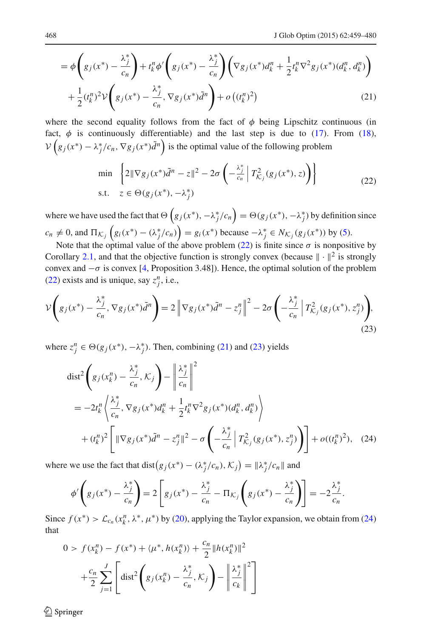$$
= \phi \left( g_j(x^*) - \frac{\lambda_j^*}{c_n} \right) + t_k^n \phi' \left( g_j(x^*) - \frac{\lambda_j^*}{c_n} \right) \left( \nabla g_j(x^*) d_k^n + \frac{1}{2} t_k^n \nabla^2 g_j(x^*) (d_k^n, d_k^n) \right) + \frac{1}{2} (t_k^n)^2 \mathcal{V} \left( g_j(x^*) - \frac{\lambda_j^*}{c_n}, \nabla g_j(x^*) \tilde{d}^n \right) + o \left( (t_k^n)^2 \right)
$$
(21)

where the second equality follows from the fact of  $\phi$  being Lipschitz continuous (in fact,  $\phi$  is continuously differentiable) and the last step is due to [\(17\)](#page-7-0). From [\(18\)](#page-8-1),  $V(g_j(x^*) - \lambda_j^*/c_n, \nabla g_j(x^*)\tilde{d}^n$  is the optimal value of the following problem

$$
\min \left\{ 2\|\nabla g_j(x^*)\tilde{d}^n - z\|^2 - 2\sigma \left( -\frac{\lambda_j^*}{c_n} \left| T_{\mathcal{K}_j}^2(g_j(x^*), z) \right| \right) \right\}
$$
\n
$$
\text{s.t.} \quad z \in \Theta(g_j(x^*), -\lambda_j^*)
$$
\n
$$
(22)
$$

<span id="page-9-0"></span>where we have used the fact that  $\Theta\left(g_j(x^*), -\lambda_j^*/c_n\right) = \Theta(g_j(x^*), -\lambda_j^*)$  by definition since  $c_n \neq 0$ , and  $\Pi_{K_j} (g_i(x^*) - (\lambda_j^*/c_n)) = g_i(x^*)$  because  $-\lambda_j^* \in N_{K_j}(g_j(x^*))$  by [\(5\)](#page-3-1).

Note that the optimal value of the above problem [\(22\)](#page-9-0) is finite since  $\sigma$  is nonpositive by Corollary [2.1,](#page-7-1) and that the objective function is strongly convex (because  $\|\cdot\|^2$  is strongly convex and  $-\sigma$  is convex [\[4](#page-20-10), Proposition 3.48]). Hence, the optimal solution of the problem [\(22\)](#page-9-0) exists and is unique, say  $z_j^n$ , i.e.,

<span id="page-9-1"></span>
$$
\mathcal{V}\left(g_j(x^*) - \frac{\lambda_j^*}{c_n}, \nabla g_j(x^*)\tilde{d}^n\right) = 2\left\|\nabla g_j(x^*)\tilde{d}^n - z_j^n\right\|^2 - 2\sigma\left(-\frac{\lambda_j^*}{c_n}\left|T_{\mathcal{K}_j}^2(g_j(x^*), z_j^n)\right.\right),\tag{23}
$$

<span id="page-9-2"></span>where  $z_j^n \in \Theta(g_j(x^*), -\lambda_j^*)$ . Then, combining [\(21\)](#page-8-2) and [\(23\)](#page-9-1) yields

$$
\begin{split} \text{dist}^2 \Bigg( g_j(x_k^n) - \frac{\lambda_j^*}{c_n}, \mathcal{K}_j \Bigg) - \left\| \frac{\lambda_j^*}{c_n} \right\|^2 \\ &= -2t_k^n \left\langle \frac{\lambda_j^*}{c_n}, \nabla g_j(x^*) d_k^n + \frac{1}{2} t_k^n \nabla^2 g_j(x^*) (d_k^n, d_k^n) \right\rangle \\ &\quad + (t_k^n)^2 \Bigg[ \|\nabla g_j(x^*) \tilde{d}^n - z_j^n\|^2 - \sigma \Bigg( -\frac{\lambda_j^*}{c_n} \left| T_{\mathcal{K}_j}^2(g_j(x^*), z_j^n) \right) \Bigg] + o((t_k^n)^2), \quad (24) \end{split}
$$

where we use the fact that dist $(g_j(x^*) - (\lambda_j^*/c_n), \mathcal{K}_j) = ||\lambda_j^*/c_n||$  and

$$
\phi'\left(g_j(x^*)-\frac{\lambda_j^*}{c_n}\right)=2\left[g_j(x^*)-\frac{\lambda_j^*}{c_n}-\Pi_{\mathcal{K}_j}\left(g_j(x^*)-\frac{\lambda_j^*}{c_n}\right)\right]=-2\frac{\lambda_j^*}{c_n}.
$$

Since  $f(x^*) > \mathcal{L}_{c_n}(x_k^n, \lambda^*, \mu^*)$  by [\(20\)](#page-8-3), applying the Taylor expansion, we obtain from [\(24\)](#page-9-2) that

$$
0 > f(x_k^n) - f(x^*) + \langle \mu^*, h(x_k^n) \rangle + \frac{c_n}{2} ||h(x_k^n)||^2
$$
  
+  $\frac{c_n}{2} \sum_{j=1}^J \left[ \text{dist}^2 \left( g_j(x_k^n) - \frac{\lambda_j^*}{c_n}, K_j \right) - \left\| \frac{\lambda_j^*}{c_k} \right\|^2 \right]$ 

 $\circledcirc$  Springer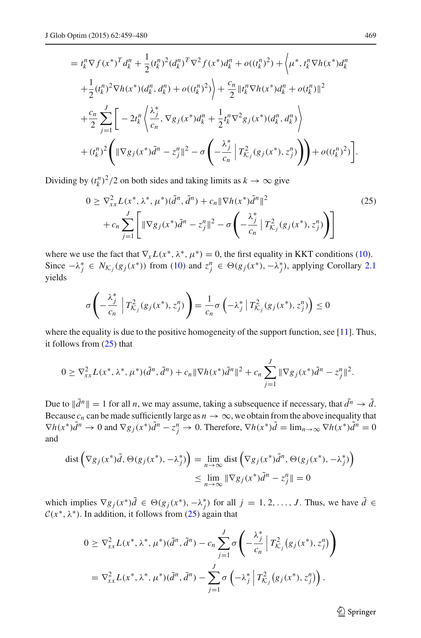$$
= t_{k}^{n} \nabla f(x^{*})^{T} d_{k}^{n} + \frac{1}{2} (t_{k}^{n})^{2} (d_{k}^{n})^{T} \nabla^{2} f(x^{*}) d_{k}^{n} + o((t_{k}^{n})^{2}) + \left\langle \mu^{*}, t_{k}^{n} \nabla h(x^{*}) d_{k}^{n} \right\rangle
$$
  
+ 
$$
\frac{1}{2} (t_{k}^{n})^{2} \nabla h(x^{*}) (d_{k}^{n}, d_{k}^{n}) + o((t_{k}^{n})^{2}) \left\rangle + \frac{c_{n}}{2} ||t_{k}^{n} \nabla h(x^{*}) d_{k}^{n} + o(t_{k}^{n})||^{2}
$$
  
+ 
$$
\frac{c_{n}}{2} \sum_{j=1}^{J} \left[ -2t_{k}^{n} \left\langle \frac{\lambda_{j}^{*}}{c_{n}}, \nabla g_{j}(x^{*}) d_{k}^{n} + \frac{1}{2} t_{k}^{n} \nabla^{2} g_{j}(x^{*}) (d_{k}^{n}, d_{k}^{n}) \right\rangle + (t_{k}^{n})^{2} \left( ||\nabla g_{j}(x^{*}) \tilde{d}^{n} - z_{j}^{n}||^{2} - \sigma \left( -\frac{\lambda_{j}^{*}}{c_{n}} \right) T_{K_{j}}^{2} (g_{j}(x^{*}), z_{j}^{n}) \right) \right) + o((t_{k}^{n})^{2}) \right].
$$

<span id="page-10-0"></span>Dividing by  $(t_k^n)^2/2$  on both sides and taking limits as  $k \to \infty$  give

$$
0 \geq \nabla_{xx}^2 L(x^*, \lambda^*, \mu^*) (\tilde{d}^n, \tilde{d}^n) + c_n \| \nabla h(x^*) \tilde{d}^n \|^2 + c_n \sum_{j=1}^J \left[ \| \nabla g_j(x^*) \tilde{d}^n - z_j^n \|^2 - \sigma \left( -\frac{\lambda_j^*}{c_n} \left| T_{\mathcal{K}_j}^2(g_j(x^*), z_j^n) \right| \right) \right]
$$
(25)

where we use the fact that  $\nabla_x L(x^*, \lambda^*, \mu^*) = 0$ , the first equality in KKT conditions [\(10\)](#page-5-0). Since  $-\lambda_j^* \in N_{\mathcal{K}_j}(g_j(x^*))$  from [\(10\)](#page-5-0) and  $z_j^n \in \Theta(g_j(x^*), -\lambda_j^*)$ , applying Corollary [2.1](#page-7-1) yields

$$
\sigma\left(-\frac{\lambda_j^*}{c_n}\left|T_{\mathcal{K}_j}^2(g_j(x^*),z_j^n)\right.\right)=\frac{1}{c_n}\sigma\left(-\lambda_j^*\left|T_{\mathcal{K}_j}^2(g_j(x^*),z_j^n)\right.\right)\leq 0
$$

where the equality is due to the positive homogeneity of the support function, see [\[11](#page-20-15)]. Thus, it follows from [\(25\)](#page-10-0) that

$$
0 \geq \nabla_{xx}^2 L(x^*, \lambda^*, \mu^*) (\tilde{d}^n, \tilde{d}^n) + c_n \|\nabla h(x^*) \tilde{d}^n\|^2 + c_n \sum_{j=1}^J \|\nabla g_j(x^*) \tilde{d}^n - z_j^n\|^2.
$$

Due to  $\|\tilde{d}^n\| = 1$  for all *n*, we may assume, taking a subsequence if necessary, that  $\tilde{d}^n \to \tilde{d}$ . Because  $c_n$  can be made sufficiently large as  $n \to \infty$ , we obtain from the above inequality that  $\nabla h(x^*)\tilde{d}^n \to 0$  and  $\nabla g_j(x^*)\tilde{d}^n - z_j^n \to 0$ . Therefore,  $\nabla h(x^*)\tilde{d}^n = \lim_{n \to \infty} \nabla h(x^*)\tilde{d}^n = 0$ and

dist 
$$
(\nabla g_j(x^*)\tilde{d}, \Theta(g_j(x^*), -\lambda_j^*) ) = \lim_{n \to \infty} \text{dist } (\nabla g_j(x^*)\tilde{d}^n, \Theta(g_j(x^*), -\lambda_j^*) )
$$
  

$$
\leq \lim_{n \to \infty} \|\nabla g_j(x^*)\tilde{d}^n - z_j^n \| = 0
$$

which implies  $\nabla g_j(x^*)d \in \Theta(g_j(x^*), -\lambda_j^*)$  for all  $j = 1, 2, ..., J$ . Thus, we have  $d \in$  $C(x^*, \lambda^*)$ . In addition, it follows from [\(25\)](#page-10-0) again that

$$
0 \geq \nabla_{xx}^{2} L(x^{*}, \lambda^{*}, \mu^{*}) (\tilde{d}^{n}, \tilde{d}^{n}) - c_{n} \sum_{j=1}^{J} \sigma \left( -\frac{\lambda_{j}^{*}}{c_{n}} \left| T_{K_{j}}^{2} (g_{j}(x^{*}), z_{j}^{n}) \right| \right)
$$
  
=  $\nabla_{xx}^{2} L(x^{*}, \lambda^{*}, \mu^{*}) (\tilde{d}^{n}, \tilde{d}^{n}) - \sum_{j=1}^{J} \sigma \left( -\lambda_{j}^{*} \left| T_{K_{j}}^{2} (g_{j}(x^{*}), z_{j}^{n}) \right| \right).$ 

<sup>2</sup> Springer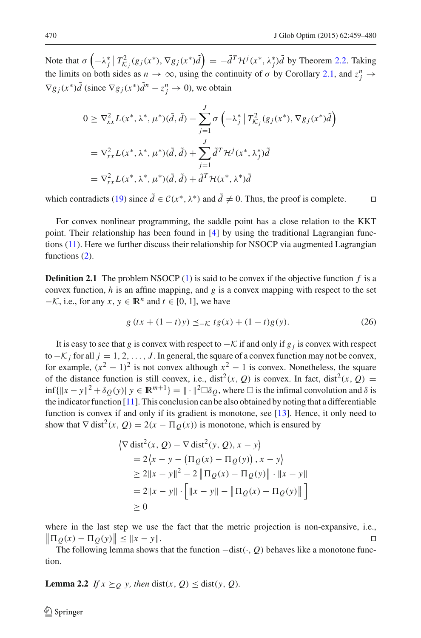Note that  $\sigma\left(-\lambda_j^*\right)T_{\mathcal{K}_j}^2(g_j(x^*), \nabla g_j(x^*)\tilde{d}\right) = -\tilde{d}^T\mathcal{H}^j(x^*, \lambda_j^*)\tilde{d}$  by Theorem [2.2.](#page-5-2) Taking the limits on both sides as  $n \to \infty$ , using the continuity of  $\sigma$  by Corollary [2.1,](#page-7-1) and  $z_j^n \to$  $\nabla g_j(x^*)\tilde{d}$  (since  $\nabla g_j(x^*)\tilde{d}^n - z_j^n \to 0$ ), we obtain

$$
0 \geq \nabla_{xx}^{2} L(x^{*}, \lambda^{*}, \mu^{*}) (\tilde{d}, \tilde{d}) - \sum_{j=1}^{J} \sigma \left( -\lambda_{j}^{*} | T_{K_{j}}^{2}(g_{j}(x^{*}), \nabla g_{j}(x^{*}) \tilde{d} \right)
$$
  

$$
= \nabla_{xx}^{2} L(x^{*}, \lambda^{*}, \mu^{*}) (\tilde{d}, \tilde{d}) + \sum_{j=1}^{J} \tilde{d}^{T} \mathcal{H}^{j}(x^{*}, \lambda_{j}^{*}) \tilde{d}
$$
  

$$
= \nabla_{xx}^{2} L(x^{*}, \lambda^{*}, \mu^{*}) (\tilde{d}, \tilde{d}) + \tilde{d}^{T} \mathcal{H}(x^{*}, \lambda^{*}) \tilde{d}
$$

which contradicts [\(19\)](#page-8-4) since  $\tilde{d} \in C(x^*, \lambda^*)$  and  $\tilde{d} \neq 0$ . Thus, the proof is complete.

For convex nonlinear programming, the saddle point has a close relation to the KKT point. Their relationship has been found in [\[4\]](#page-20-10) by using the traditional Lagrangian functions [\(11\)](#page-5-3). Here we further discuss their relationship for NSOCP via augmented Lagrangian functions [\(2\)](#page-2-0).

**Definition 2.1** The problem NSOCP [\(1\)](#page-1-0) is said to be convex if the objective function f is a convex function,  $h$  is an affine mapping, and  $g$  is a convex mapping with respect to the set  $-\mathcal{K}$ , i.e., for any *x*,  $y \in \mathbb{R}^n$  and  $t \in [0, 1]$ , we have

$$
g(tx + (1-t)y) \leq_{-K} tg(x) + (1-t)g(y). \tag{26}
$$

<span id="page-11-1"></span>It is easy to see that *g* is convex with respect to  $−\mathcal{K}$  if and only if *g<sub>j</sub>* is convex with respect to  $−\mathcal{K}_j$  for all *j* = 1, 2, ..., *J*. In general, the square of a convex function may not be convex, for example,  $(x^2 - 1)^2$  is not convex although  $x^2 - 1$  is convex. Nonetheless, the square of the distance function is still convex, i.e., dist<sup>2</sup>(*x*, *Q*) is convex. In fact, dist<sup>2</sup>(*x*, *Q*) =  $\inf\{\|x-y\|^2 + \delta_Q(y)\}\ y \in \mathbb{R}^{m+1}\} = \|\cdot\|^2 \Box \delta_Q$ , where  $\Box$  is the infimal convolution and  $\delta$  is the indicator function  $[11]$ . This conclusion can be also obtained by noting that a differentiable function is convex if and only if its gradient is monotone, see [\[13](#page-20-0)]. Hence, it only need to show that  $\nabla$  dist<sup>2</sup>(*x*, *Q*) = 2(*x* −  $\Pi$ <sub>*O*</sub>(*x*)) is monotone, which is ensured by

$$
\begin{aligned} \left\langle \nabla \operatorname{dist}^2(x, Q) - \nabla \operatorname{dist}^2(y, Q), x - y \right\rangle \\ &= 2\left\langle x - y - \left( \Pi_Q(x) - \Pi_Q(y) \right), x - y \right\rangle \\ &\ge 2\|x - y\|^2 - 2\left\| \Pi_Q(x) - \Pi_Q(y) \right\| \cdot \|x - y\| \\ &= 2\|x - y\| \cdot \left[ \|x - y\| - \left\| \Pi_Q(x) - \Pi_Q(y) \right\| \right] \\ &\ge 0 \end{aligned}
$$

where in the last step we use the fact that the metric projection is non-expansive, i.e.,  $\Pi_Q(x) - \Pi_Q(y)$  ≤ *<sup>x</sup>* <sup>−</sup> *<sup>y</sup>*.

<span id="page-11-0"></span>The following lemma shows that the function −dist(·, *Q*) behaves like a monotone function.

**Lemma 2.2** *If*  $x \succeq_Q y$ *, then* dist(*x*, *Q*)  $\leq$  dist(*y*, *Q*)*.*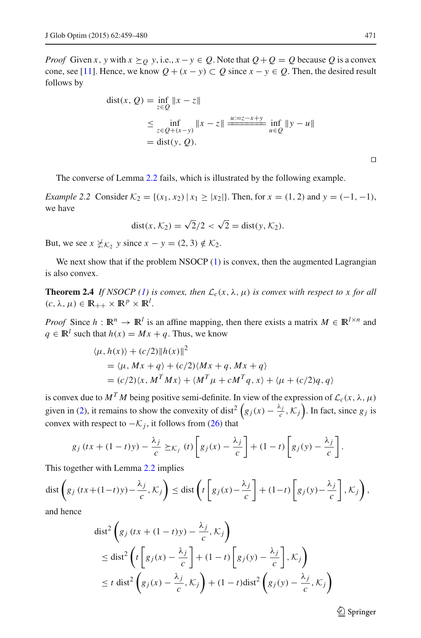*Proof* Given *x*, *y* with  $x \succeq_0 y$ , i.e.,  $x - y \in Q$ . Note that  $Q + Q = Q$  because Q is a convex cone, see [\[11](#page-20-15)]. Hence, we know  $Q + (x - y) \subset Q$  since  $x - y \in Q$ . Then, the desired result follows by

dist(x, Q) = 
$$
\inf_{z \in Q} ||x - z||
$$
  
\n $\leq \inf_{z \in Q + (x - y)} ||x - z|| \xrightarrow{u := z - x + y} \inf_{u \in Q} ||y - u||$   
\n= dist(y, Q).

The converse of Lemma [2.2](#page-11-0) fails, which is illustrated by the following example.

*Example 2.2* Consider  $K_2 = \{(x_1, x_2) | x_1 \ge |x_2| \}$ . Then, for  $x = (1, 2)$  and  $y = (-1, -1)$ , we have

$$
dist(x, \mathcal{K}_2) = \sqrt{2}/2 < \sqrt{2} = dist(y, \mathcal{K}_2).
$$

But, we see  $x \not\leq_{\mathcal{K}} y$  since  $x - y = (2, 3) \notin \mathcal{K}_2$ .

<span id="page-12-0"></span>We next show that if the problem NSOCP  $(1)$  is convex, then the augmented Lagrangian is also convex.

**Theorem 2.4** *If NSOCP* [\(1\)](#page-1-0) *is convex, then*  $\mathcal{L}_c(x, \lambda, \mu)$  *is convex with respect to x for all*  $(c, \lambda, \mu) \in \mathbb{R}_{++} \times \mathbb{R}^p \times \mathbb{R}^l$ .

*Proof* Since  $h : \mathbb{R}^n \to \mathbb{R}^l$  is an affine mapping, then there exists a matrix  $M \in \mathbb{R}^{l \times n}$  and  $q \in \mathbb{R}^l$  such that  $h(x) = Mx + q$ . Thus, we know

$$
\langle \mu, h(x) \rangle + (c/2) ||h(x)||^2
$$
  
=  $\langle \mu, Mx + q \rangle + (c/2) \langle Mx + q, Mx + q \rangle$   
=  $(c/2) \langle x, M^T Mx \rangle + \langle M^T \mu + cM^T q, x \rangle + \langle \mu + (c/2)q, q \rangle$ 

is convex due to  $M^T M$  being positive semi-definite. In view of the expression of  $\mathcal{L}_c(x, \lambda, \mu)$ given in [\(2\)](#page-2-0), it remains to show the convexity of dist<sup>2</sup>  $(g_j(x) - \frac{\lambda_j}{c}, \mathcal{K}_j)$ . In fact, since  $g_j$  is convex with respect to  $-K_j$ , it follows from [\(26\)](#page-11-1) that

$$
g_j\left(tx+(1-t)y\right)-\frac{\lambda_j}{c}\succeq_{\mathcal{K}_j}\left(t\right)\left[g_j(x)-\frac{\lambda_j}{c}\right]+(1-t)\left[g_j(y)-\frac{\lambda_j}{c}\right].
$$

This together with Lemma [2.2](#page-11-0) implies

$$
\text{dist}\left(g_j\left(tx+(1-t)y\right)-\frac{\lambda_j}{c},\mathcal{K}_j\right)\leq \text{dist}\left(t\left[g_j(x)-\frac{\lambda_j}{c}\right]+(1-t)\left[g_j(y)-\frac{\lambda_j}{c}\right],\mathcal{K}_j\right),\right)
$$

and hence

$$
\begin{aligned} \text{dist}^2 \left( g_j \left( tx + (1-t)y \right) - \frac{\lambda_j}{c}, \mathcal{K}_j \right) \\ &\leq \text{dist}^2 \left( t \left[ g_j \left( x \right) - \frac{\lambda_j}{c} \right] + (1-t) \left[ g_j \left( y \right) - \frac{\lambda_j}{c} \right], \mathcal{K}_j \right) \\ &\leq t \text{ dist}^2 \left( g_j \left( x \right) - \frac{\lambda_j}{c}, \mathcal{K}_j \right) + (1-t) \text{dist}^2 \left( g_j \left( y \right) - \frac{\lambda_j}{c}, \mathcal{K}_j \right) \end{aligned}
$$

 $\circled{2}$  Springer

 $\Box$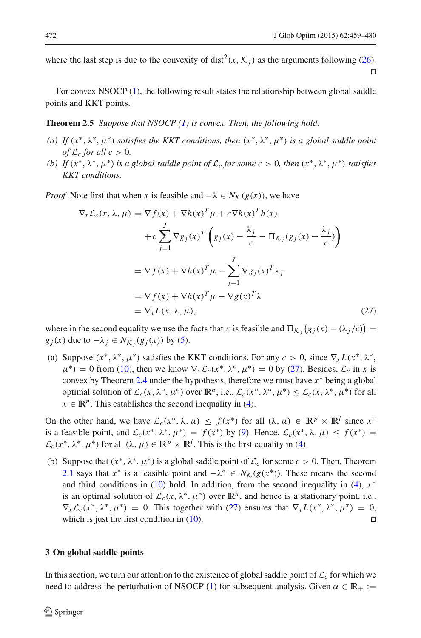where the last step is due to the convexity of dist<sup>2</sup>(*x*,  $K$ <sub>*j*</sub>) as the arguments following [\(26\)](#page-11-1).  $\Box$ 

For convex NSOCP [\(1\)](#page-1-0), the following result states the relationship between global saddle points and KKT points.

**Theorem 2.5** *Suppose that NSOCP [\(1\)](#page-1-0) is convex. Then, the following hold.*

- *(a)* If  $(x^*, \lambda^*, \mu^*)$  *satisfies the KKT conditions, then*  $(x^*, \lambda^*, \mu^*)$  *is a global saddle point of*  $\mathcal{L}_c$  *for all*  $c > 0$ *.*
- *(b)* If  $(x^*, \lambda^*, \mu^*)$  *is a global saddle point of*  $\mathcal{L}_c$  *for some c* > 0*, then*  $(x^*, \lambda^*, \mu^*)$  *satisfies KKT conditions.*

<span id="page-13-0"></span>*Proof* Note first that when *x* is feasible and  $-\lambda \in N_K(g(x))$ , we have

$$
\nabla_x \mathcal{L}_c(x, \lambda, \mu) = \nabla f(x) + \nabla h(x)^T \mu + c \nabla h(x)^T h(x)
$$

$$
+ c \sum_{j=1}^J \nabla g_j(x)^T \left( g_j(x) - \frac{\lambda_j}{c} - \Pi_{\mathcal{K}_j}(g_j(x) - \frac{\lambda_j}{c}) \right)
$$

$$
= \nabla f(x) + \nabla h(x)^T \mu - \sum_{j=1}^J \nabla g_j(x)^T \lambda_j
$$

$$
= \nabla f(x) + \nabla h(x)^T \mu - \nabla g(x)^T \lambda
$$

$$
= \nabla_x L(x, \lambda, \mu), \qquad (27)
$$

where in the second equality we use the facts that *x* is feasible and  $\Pi_{\mathcal{K}_j}(g_j(x) - (\lambda_j/c)) =$ *g<sub>j</sub>*(*x*) due to  $-\lambda_j \in N_{\mathcal{K}_j}(g_j(x))$  by [\(5\)](#page-3-1).

(a) Suppose  $(x^*, \lambda^*, \mu^*)$  satisfies the KKT conditions. For any  $c > 0$ , since  $\nabla_x L(x^*, \lambda^*, \mu^*)$  $\mu^*$ ) = 0 from [\(10\)](#page-5-0), then we know  $\nabla_x \mathcal{L}_c(\chi^*, \lambda^*, \mu^*)$  = 0 by [\(27\)](#page-13-0). Besides,  $\mathcal{L}_c$  in *x* is convex by Theorem [2.4](#page-12-0) under the hypothesis, therefore we must have *x*∗ being a global optimal solution of  $\mathcal{L}_c(x, \lambda^*, \mu^*)$  over  $\mathbb{R}^n$ , i.e.,  $\mathcal{L}_c(x^*, \lambda^*, \mu^*) \leq \mathcal{L}_c(x, \lambda^*, \mu^*)$  for all  $x \in \mathbb{R}^n$ . This establishes the second inequality in [\(4\)](#page-3-2).

On the other hand, we have  $\mathcal{L}_c(x^*, \lambda, \mu) \leq f(x^*)$  for all  $(\lambda, \mu) \in \mathbb{R}^p \times \mathbb{R}^l$  since  $x^*$ is a feasible point, and  $\mathcal{L}_c(x^*, \lambda^*, \mu^*) = f(x^*)$  by [\(9\)](#page-4-2). Hence,  $\mathcal{L}_c(x^*, \lambda, \mu) \leq f(x^*)$  $\mathcal{L}_c(x^*, \lambda^*, \mu^*)$  for all  $(\lambda, \mu) \in \mathbb{R}^p \times \mathbb{R}^l$ . This is the first equality in [\(4\)](#page-3-2).

(b) Suppose that  $(x^*, \lambda^*, \mu^*)$  is a global saddle point of  $\mathcal{L}_c$  for some  $c > 0$ . Then, Theorem [2.1](#page-3-3) says that  $x^*$  is a feasible point and  $-\lambda^* \in N_{\mathcal{K}}(g(x^*))$ . These means the second and third conditions in  $(10)$  hold. In addition, from the second inequality in  $(4)$ ,  $x^*$ is an optimal solution of  $\mathcal{L}_c(x, \lambda^*, \mu^*)$  over  $\mathbb{R}^n$ , and hence is a stationary point, i.e.,  $\nabla_x \mathcal{L}_c(x^*, \lambda^*, \mu^*) = 0$ . This together with [\(27\)](#page-13-0) ensures that  $\nabla_x L(x^*, \lambda^*, \mu^*) = 0$ , which is just the first condition in  $(10)$ .

#### **3 On global saddle points**

In this section, we turn our attention to the existence of global saddle point of  $\mathcal{L}_c$  for which we need to address the perturbation of NSOCP [\(1\)](#page-1-0) for subsequent analysis. Given  $\alpha \in \mathbb{R}_+ :=$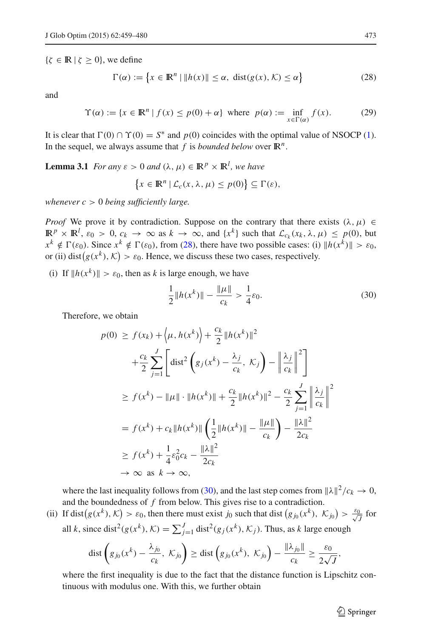<span id="page-14-0"></span> $\{\zeta \in \mathbb{R} \mid \zeta \geq 0\}$ , we define

$$
\Gamma(\alpha) := \left\{ x \in \mathbb{R}^n \mid \|h(x)\| \le \alpha, \text{ dist}(g(x), \mathcal{K}) \le \alpha \right\}
$$
 (28)

<span id="page-14-3"></span>and

$$
\Upsilon(\alpha) := \{ x \in \mathbb{R}^n \mid f(x) \le p(0) + \alpha \} \text{ where } p(\alpha) := \inf_{x \in \Gamma(\alpha)} f(x). \tag{29}
$$

<span id="page-14-2"></span>It is clear that  $\Gamma(0) \cap \Upsilon(0) = S^*$  and  $p(0)$  coincides with the optimal value of NSOCP [\(1\)](#page-1-0). In the sequel, we always assume that  $f$  is *bounded below* over  $\mathbb{R}^n$ .

**Lemma 3.1** *For any*  $\varepsilon > 0$  *and*  $(\lambda, \mu) \in \mathbb{R}^p \times \mathbb{R}^l$ , we have

$$
\{x \in \mathbb{R}^n \mid \mathcal{L}_c(x, \lambda, \mu) \le p(0)\} \subseteq \Gamma(\varepsilon),
$$

*whenever c* > 0 *being sufficiently large.*

*Proof* We prove it by contradiction. Suppose on the contrary that there exists  $(\lambda, \mu) \in$  $\mathbb{R}^p \times \mathbb{R}^l$ ,  $\varepsilon_0 > 0$ ,  $c_k \to \infty$  as  $k \to \infty$ , and  $\{x^k\}$  such that  $\mathcal{L}_{c_k}(x_k, \lambda, \mu) \leq p(0)$ , but  $x^k \notin \Gamma(\varepsilon_0)$ . Since  $x^k \notin \Gamma(\varepsilon_0)$ , from [\(28\)](#page-14-0), there have two possible cases: (i)  $||h(x^k)|| > \varepsilon_0$ , or (ii) dist $(g(x^k), \mathcal{K}) > \varepsilon_0$ . Hence, we discuss these two cases, respectively.

(i) If  $||h(x^k)|| > \varepsilon_0$ , then as *k* is large enough, we have

$$
\frac{1}{2}||h(x^k)|| - \frac{||\mu||}{c_k} > \frac{1}{4}\varepsilon_0.
$$
 (30)

Therefore, we obtain

<span id="page-14-1"></span>
$$
p(0) \ge f(x_k) + \langle \mu, h(x^k) \rangle + \frac{c_k}{2} ||h(x^k)||^2
$$
  
+ 
$$
\frac{c_k}{2} \sum_{j=1}^J \left[ \text{dist}^2 \left( g_j(x^k) - \frac{\lambda_j}{c_k}, \mathcal{K}_j \right) - \left\| \frac{\lambda_j}{c_k} \right\|^2 \right]
$$
  

$$
\ge f(x^k) - ||\mu|| \cdot ||h(x^k)|| + \frac{c_k}{2} ||h(x^k)||^2 - \frac{c_k}{2} \sum_{j=1}^J \left\| \frac{\lambda_j}{c_k} \right\|^2
$$
  
=  $f(x^k) + c_k ||h(x^k)|| \left( \frac{1}{2} ||h(x^k)|| - \frac{||\mu||}{c_k} \right) - \frac{||\lambda||^2}{2c_k}$   

$$
\ge f(x^k) + \frac{1}{4} \varepsilon_0^2 c_k - \frac{||\lambda||^2}{2c_k}
$$
  

$$
\to \infty \text{ as } k \to \infty,
$$

where the last inequality follows from [\(30\)](#page-14-1), and the last step comes from  $||\lambda||^2/c_k \to 0$ , and the boundedness of *f* from below. This gives rise to a contradiction.

(ii) If dist  $(g(x^k), K) > \varepsilon_0$ , then there must exist *j*<sub>0</sub> such that dist  $(g_{j_0}(x^k), K_{j_0}) > \frac{\varepsilon_0}{\sqrt{N}}$  $\frac{1}{J}$  for all *k*, since dist<sup>2</sup>( $g(x^k)$ ,  $K$ ) =  $\sum_{j=1}^{J}$  dist<sup>2</sup>( $g_j(x^k)$ ,  $K_j$ ). Thus, as *k* large enough

$$
\text{dist}\left(g_{j_0}(x^k)-\frac{\lambda_{j_0}}{c_k}, \ \mathcal{K}_{j_0}\right)\geq \text{dist}\left(g_{j_0}(x^k), \ \mathcal{K}_{j_0}\right)-\frac{\|\lambda_{j_0}\|}{c_k}\geq \frac{\varepsilon_0}{2\sqrt{J}},
$$

where the first inequality is due to the fact that the distance function is Lipschitz continuous with modulus one. With this, we further obtain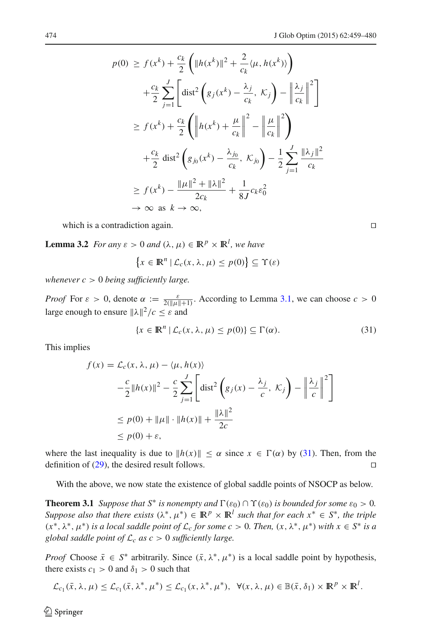$$
p(0) \ge f(x^k) + \frac{c_k}{2} \left( \|h(x^k)\|^2 + \frac{2}{c_k} \langle \mu, h(x^k) \rangle \right)
$$
  
+ 
$$
\frac{c_k}{2} \sum_{j=1}^J \left[ \text{dist}^2 \left( g_j(x^k) - \frac{\lambda_j}{c_k}, \mathcal{K}_j \right) - \left\| \frac{\lambda_j}{c_k} \right\|^2 \right]
$$
  

$$
\ge f(x^k) + \frac{c_k}{2} \left( \left\| h(x^k) + \frac{\mu}{c_k} \right\|^2 - \left\| \frac{\mu}{c_k} \right\|^2 \right)
$$
  
+ 
$$
\frac{c_k}{2} \text{dist}^2 \left( g_{j_0}(x^k) - \frac{\lambda_{j_0}}{c_k}, \mathcal{K}_{j_0} \right) - \frac{1}{2} \sum_{j=1}^J \frac{\|\lambda_j\|^2}{c_k}
$$
  

$$
\ge f(x^k) - \frac{\|\mu\|^2 + \|\lambda\|^2}{2c_k} + \frac{1}{8J} c_k \varepsilon_0^2
$$
  

$$
\to \infty \text{ as } k \to \infty,
$$

which is a contradiction again.

<span id="page-15-1"></span>**Lemma 3.2** *For any*  $\varepsilon > 0$  *and*  $(\lambda, \mu) \in \mathbb{R}^p \times \mathbb{R}^l$ , we have

$$
\{x \in \mathbb{R}^n \mid \mathcal{L}_c(x, \lambda, \mu) \le p(0)\} \subseteq \Upsilon(\varepsilon)
$$

*whenever c* > 0 *being sufficiently large.*

*Proof* For  $\varepsilon > 0$ , denote  $\alpha := \frac{\varepsilon}{2(\|u\|+1)}$ . According to Lemma [3.1,](#page-14-2) we can choose  $c > 0$ large enough to ensure  $\|\lambda\|^2/c \leq \varepsilon$  and

$$
\{x \in \mathbb{R}^n \mid \mathcal{L}_c(x, \lambda, \mu) \le p(0)\} \subseteq \Gamma(\alpha). \tag{31}
$$

<span id="page-15-0"></span>This implies

$$
f(x) = \mathcal{L}_c(x, \lambda, \mu) - \langle \mu, h(x) \rangle
$$
  

$$
-\frac{c}{2} ||h(x)||^2 - \frac{c}{2} \sum_{j=1}^J \left[ \text{dist}^2 \left( g_j(x) - \frac{\lambda_j}{c}, \mathcal{K}_j \right) - \left\| \frac{\lambda_j}{c} \right\|^2 \right]
$$
  

$$
\leq p(0) + ||\mu|| \cdot ||h(x)|| + \frac{||\lambda||^2}{2c}
$$
  

$$
\leq p(0) + \varepsilon,
$$

where the last inequality is due to  $||h(x)|| \leq \alpha$  since  $x \in \Gamma(\alpha)$  by [\(31\)](#page-15-0). Then, from the definition of  $(29)$ , the desired result follows.

With the above, we now state the existence of global saddle points of NSOCP as below.

**Theorem 3.1** *Suppose that*  $S^*$  *is nonempty and*  $\Gamma(\varepsilon_0) \cap \Upsilon(\varepsilon_0)$  *is bounded for some*  $\varepsilon_0 > 0$ *. Suppose also that there exists*  $(\lambda^*, \mu^*) \in \mathbb{R}^p \times \mathbb{R}^l$  *such that for each*  $x^* \in S^*$ *, the triple*  $(x^*, \lambda^*, \mu^*)$  *is a local saddle point of*  $\mathcal{L}_c$  *for some c* > 0*. Then,*  $(x, \lambda^*, \mu^*)$  *with*  $x \in S^*$  *is a global saddle point of L<sup>c</sup> as c* > 0 *sufficiently large.*

*Proof* Choose  $\bar{x} \in S^*$  arbitrarily. Since  $(\bar{x}, \lambda^*, \mu^*)$  is a local saddle point by hypothesis, there exists  $c_1 > 0$  and  $\delta_1 > 0$  such that

$$
\mathcal{L}_{c_1}(\bar{x}, \lambda, \mu) \leq \mathcal{L}_{c_1}(\bar{x}, \lambda^*, \mu^*) \leq \mathcal{L}_{c_1}(x, \lambda^*, \mu^*), \ \ \forall (x, \lambda, \mu) \in \mathbb{B}(\bar{x}, \delta_1) \times \mathbb{R}^p \times \mathbb{R}^l.
$$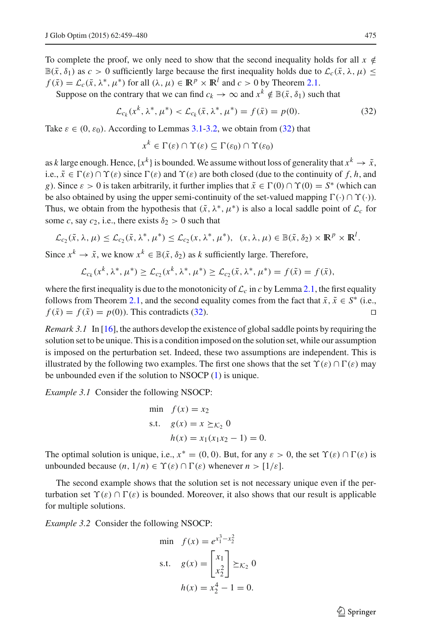To complete the proof, we only need to show that the second inequality holds for all  $x \notin$  $\mathbb{B}(\bar{x}, \delta_1)$  as  $c > 0$  sufficiently large because the first inequality holds due to  $\mathcal{L}_c(\bar{x}, \lambda, \mu) \leq$  $f(\bar{x}) = \mathcal{L}_c(\bar{x}, \lambda^*, \mu^*)$  for all  $(\lambda, \mu) \in \mathbb{R}^p \times \mathbb{R}^l$  and  $c > 0$  by Theorem [2.1.](#page-3-3)

<span id="page-16-0"></span>Suppose on the contrary that we can find  $c_k \to \infty$  and  $x^k \notin \mathbb{B}(\bar{x}, \delta_1)$  such that

$$
\mathcal{L}_{c_k}(x^k, \lambda^*, \mu^*) < \mathcal{L}_{c_k}(\bar{x}, \lambda^*, \mu^*) = f(\bar{x}) = p(0). \tag{32}
$$

Take  $\varepsilon \in (0, \varepsilon_0)$ . According to Lemmas [3.1](#page-14-2)[-3.2,](#page-15-1) we obtain from [\(32\)](#page-16-0) that

$$
x^k \in \Gamma(\varepsilon) \cap \Upsilon(\varepsilon) \subseteq \Gamma(\varepsilon_0) \cap \Upsilon(\varepsilon_0)
$$

as *k* large enough. Hence,  $\{x^k\}$  is bounded. We assume without loss of generality that  $x^k \to \tilde{x}$ , i.e.,  $\tilde{x} \in \Gamma(\varepsilon) \cap \Upsilon(\varepsilon)$  since  $\Gamma(\varepsilon)$  and  $\Upsilon(\varepsilon)$  are both closed (due to the continuity of f, h, and *g*). Since  $\varepsilon > 0$  is taken arbitrarily, it further implies that  $\tilde{x} \in \Gamma(0) \cap \Upsilon(0) = S^*$  (which can be also obtained by using the upper semi-continuity of the set-valued mapping  $\Gamma(\cdot) \cap \Upsilon(\cdot)$ ). Thus, we obtain from the hypothesis that  $(\tilde{x}, \lambda^*, \mu^*)$  is also a local saddle point of  $\mathcal{L}_c$  for some *c*, say *c*<sub>2</sub>, i.e., there exists  $\delta_2 > 0$  such that

$$
\mathcal{L}_{c_2}(\tilde{x}, \lambda, \mu) \leq \mathcal{L}_{c_2}(\tilde{x}, \lambda^*, \mu^*) \leq \mathcal{L}_{c_2}(x, \lambda^*, \mu^*), \quad (x, \lambda, \mu) \in \mathbb{B}(\tilde{x}, \delta_2) \times \mathbb{R}^p \times \mathbb{R}^l.
$$

Since  $x^k \to \tilde{x}$ , we know  $x^k \in \mathbb{B}(\tilde{x}, \delta_2)$  as *k* sufficiently large. Therefore,

$$
\mathcal{L}_{c_k}(x^k, \lambda^*, \mu^*) \ge \mathcal{L}_{c_2}(x^k, \lambda^*, \mu^*) \ge \mathcal{L}_{c_2}(\tilde{x}, \lambda^*, \mu^*) = f(\tilde{x}) = f(\tilde{x}),
$$

where the first inequality is due to the monotonicity of  $\mathcal{L}_c$  in *c* by Lemma [2.1,](#page-3-4) the first equality follows from Theorem [2.1,](#page-3-3) and the second equality comes from the fact that  $\bar{x}$ ,  $\tilde{x} \in S^*$  (i.e.,  $f(\bar{x}) = f(\tilde{x}) = p(0)$ . This contradicts [\(32\)](#page-16-0).

*Remark 3.1* In [\[16\]](#page-20-9), the authors develop the existence of global saddle points by requiring the solution set to be unique. This is a condition imposed on the solution set, while our assumption is imposed on the perturbation set. Indeed, these two assumptions are independent. This is illustrated by the following two examples. The first one shows that the set  $\Upsilon(\varepsilon) \cap \Gamma(\varepsilon)$  may be unbounded even if the solution to NSOCP [\(1\)](#page-1-0) is unique.

*Example 3.1* Consider the following NSOCP:

min 
$$
f(x) = x_2
$$
  
s.t.  $g(x) = x \ge \kappa_2 0$   
 $h(x) = x_1(x_1x_2 - 1) = 0.$ 

The optimal solution is unique, i.e.,  $x^* = (0, 0)$ . But, for any  $\varepsilon > 0$ , the set  $\Upsilon(\varepsilon) \cap \Gamma(\varepsilon)$  is unbounded because  $(n, 1/n) \in \Upsilon(\varepsilon) \cap \Gamma(\varepsilon)$  whenever  $n > [1/\varepsilon]$ .

The second example shows that the solution set is not necessary unique even if the perturbation set  $\Upsilon(\varepsilon) \cap \Gamma(\varepsilon)$  is bounded. Moreover, it also shows that our result is applicable for multiple solutions.

*Example 3.2* Consider the following NSOCP:

min 
$$
f(x) = e^{x_1^3 - x_2^2}
$$
  
s.t.  $g(x) = \begin{bmatrix} x_1 \\ x_2 \end{bmatrix} \succeq \kappa_2 0$   
 $h(x) = x_2^4 - 1 = 0.$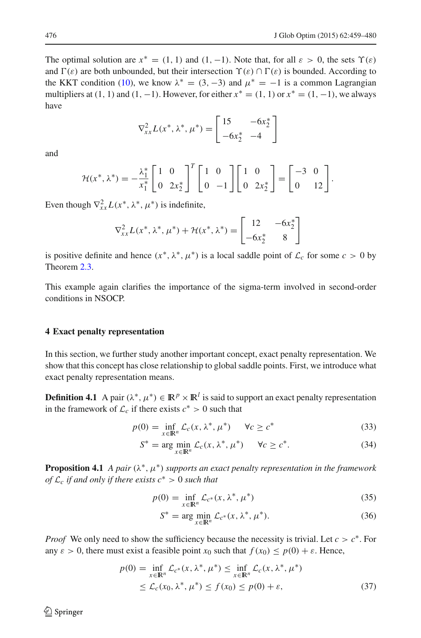The optimal solution are  $x^* = (1, 1)$  and  $(1, -1)$ . Note that, for all  $\varepsilon > 0$ , the sets  $\Upsilon(\varepsilon)$ and  $\Gamma(\varepsilon)$  are both unbounded, but their intersection  $\Upsilon(\varepsilon) \cap \Gamma(\varepsilon)$  is bounded. According to the KKT condition [\(10\)](#page-5-0), we know  $\lambda^* = (3, -3)$  and  $\mu^* = -1$  is a common Lagrangian multipliers at  $(1, 1)$  and  $(1, -1)$ . However, for either  $x^* = (1, 1)$  or  $x^* = (1, -1)$ , we always have

$$
\nabla_{xx}^{2} L(x^*, \lambda^*, \mu^*) = \begin{bmatrix} 15 & -6x_2^* \\ -6x_2^* & -4 \end{bmatrix}
$$

and

$$
\mathcal{H}(x^*, \lambda^*) = -\frac{\lambda_1^*}{x_1^*} \begin{bmatrix} 1 & 0 \\ 0 & 2x_2^* \end{bmatrix}^T \begin{bmatrix} 1 & 0 \\ 0 & -1 \end{bmatrix} \begin{bmatrix} 1 & 0 \\ 0 & 2x_2^* \end{bmatrix} = \begin{bmatrix} -3 & 0 \\ 0 & 12 \end{bmatrix}.
$$

Even though  $\nabla_{xx}^2 L(x^*, \lambda^*, \mu^*)$  is indefinite,

$$
\nabla_{xx}^{2} L(x^*, \lambda^*, \mu^*) + \mathcal{H}(x^*, \lambda^*) = \begin{bmatrix} 12 & -6x_2^* \\ -6x_2^* & 8 \end{bmatrix}
$$

is positive definite and hence  $(x^*, \lambda^*, \mu^*)$  is a local saddle point of  $\mathcal{L}_c$  for some  $c > 0$  by Theorem [2.3.](#page-8-0)

This example again clarifies the importance of the sigma-term involved in second-order conditions in NSOCP.

#### **4 Exact penalty representation**

In this section, we further study another important concept, exact penalty representation. We show that this concept has close relationship to global saddle points. First, we introduce what exact penalty representation means.

<span id="page-17-3"></span><span id="page-17-2"></span>**Definition 4.1** A pair  $(\lambda^*, \mu^*) \in \mathbb{R}^p \times \mathbb{R}^l$  is said to support an exact penalty representation in the framework of  $\mathcal{L}_c$  if there exists  $c^* > 0$  such that

$$
p(0) = \inf_{x \in \mathbb{R}^n} \mathcal{L}_c(x, \lambda^*, \mu^*) \qquad \forall c \ge c^*
$$
\n(33)

$$
S^* = \arg\min_{x \in \mathbb{R}^n} \mathcal{L}_c(x, \lambda^*, \mu^*) \qquad \forall c \ge c^*.
$$
 (34)

<span id="page-17-0"></span>**Proposition 4.1** *A pair* ( $\lambda^*$ ,  $\mu^*$ ) *supports an exact penalty representation in the framework of*  $\mathcal{L}_c$  *if and only if there exists*  $c^* > 0$  *such that* 

$$
p(0) = \inf_{x \in \mathbb{R}^n} \mathcal{L}_{c^*}(x, \lambda^*, \mu^*)
$$
 (35)

$$
S^* = \arg\min_{x \in \mathbb{R}^n} \mathcal{L}_{c^*}(x, \lambda^*, \mu^*).
$$
 (36)

<span id="page-17-1"></span>*Proof* We only need to show the sufficiency because the necessity is trivial. Let  $c > c^*$ . For any  $\varepsilon > 0$ , there must exist a feasible point  $x_0$  such that  $f(x_0) \leq p(0) + \varepsilon$ . Hence,

$$
p(0) = \inf_{x \in \mathbb{R}^n} \mathcal{L}_{c^*}(x, \lambda^*, \mu^*) \le \inf_{x \in \mathbb{R}^n} \mathcal{L}_c(x, \lambda^*, \mu^*)
$$
  
 
$$
\le \mathcal{L}_c(x_0, \lambda^*, \mu^*) \le f(x_0) \le p(0) + \varepsilon,
$$
 (37)

 $\circledcirc$  Springer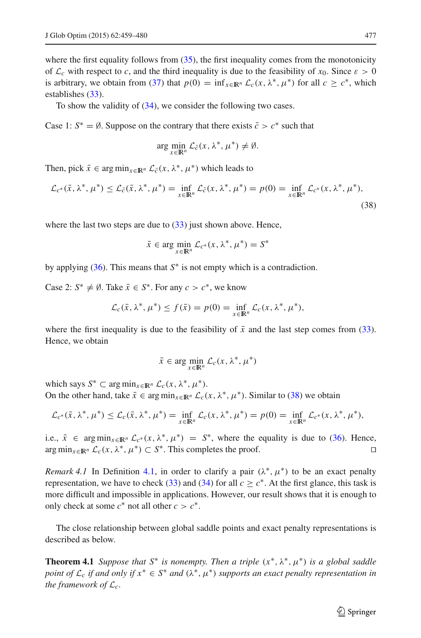where the first equality follows from  $(35)$ , the first inequality comes from the monotonicity of  $\mathcal{L}_c$  with respect to *c*, and the third inequality is due to the feasibility of  $x_0$ . Since  $\varepsilon > 0$ is arbitrary, we obtain from [\(37\)](#page-17-1) that  $p(0) = \inf_{x \in \mathbb{R}^n} \mathcal{L}_c(x, \lambda^*, \mu^*)$  for all  $c > c^*$ , which establishes [\(33\)](#page-17-2).

To show the validity of [\(34\)](#page-17-2), we consider the following two cases.

Case 1:  $S^* = \emptyset$ . Suppose on the contrary that there exists  $\overline{c} > c^*$  such that

$$
\arg\min_{x\in\mathbb{R}^n}\mathcal{L}_{\bar{c}}(x,\lambda^*,\mu^*)\neq\emptyset.
$$

<span id="page-18-0"></span>Then, pick  $\bar{x} \in \arg \min_{x \in \mathbb{R}^n} \mathcal{L}_{\bar{c}}(x, \lambda^*, \mu^*)$  which leads to

$$
\mathcal{L}_{c^*}(\bar{x}, \lambda^*, \mu^*) \le \mathcal{L}_{\bar{c}}(\bar{x}, \lambda^*, \mu^*) = \inf_{x \in \mathbb{R}^n} \mathcal{L}_{\bar{c}}(x, \lambda^*, \mu^*) = p(0) = \inf_{x \in \mathbb{R}^n} \mathcal{L}_{c^*}(x, \lambda^*, \mu^*),
$$
\n(38)

where the last two steps are due to  $(33)$  just shown above. Hence,

$$
\bar{x} \in \arg\min_{x \in \mathbb{R}^n} \mathcal{L}_{c^*}(x, \lambda^*, \mu^*) = S^*
$$

by applying [\(36\)](#page-17-0). This means that *S*∗ is not empty which is a contradiction.

Case 2:  $S^* \neq \emptyset$ . Take  $\bar{x} \in S^*$ . For any  $c > c^*$ , we know

$$
\mathcal{L}_c(\bar{x}, \lambda^*, \mu^*) \le f(\bar{x}) = p(0) = \inf_{x \in \mathbb{R}^n} \mathcal{L}_c(x, \lambda^*, \mu^*),
$$

where the first inequality is due to the feasibility of  $\bar{x}$  and the last step comes from [\(33\)](#page-17-2). Hence, we obtain

$$
\bar{x} \in \arg\min_{x \in \mathbb{R}^n} \mathcal{L}_c(x, \lambda^*, \mu^*)
$$

which says  $S^* \subset \arg \min_{x \in \mathbb{R}^n} \mathcal{L}_c(x, \lambda^*, \mu^*).$ On the other hand, take  $\bar{x} \in \arg \min_{x \in \mathbb{R}^n} \mathcal{L}_c(x, \lambda^*, \mu^*)$ . Similar to [\(38\)](#page-18-0) we obtain

$$
\mathcal{L}_{c^*}(\bar{x}, \lambda^*, \mu^*) \le \mathcal{L}_c(\bar{x}, \lambda^*, \mu^*) = \inf_{x \in \mathbb{R}^n} \mathcal{L}_c(x, \lambda^*, \mu^*) = p(0) = \inf_{x \in \mathbb{R}^n} \mathcal{L}_{c^*}(x, \lambda^*, \mu^*),
$$

i.e.,  $\bar{x}$  ∈ arg min<sub>*x*∈IR</sub>*n*  $\mathcal{L}_{c^*}(x, \lambda^*, \mu^*) = S^*$ , where the equality is due to [\(36\)](#page-17-0). Hence, arg min<sub>*x*∈IR*n*</sub>  $\mathcal{L}_c(x, \lambda^*, \mu^*) \subset S^*$ . This completes the proof.  $\arg \min_{x \in \mathbb{R}^n} \mathcal{L}_c(x, \lambda^*, \mu^*) \subset S^*$ . This completes the proof.

*Remark 4.1* In Definition [4.1,](#page-17-3) in order to clarify a pair  $(\lambda^*, \mu^*)$  to be an exact penalty representation, we have to check [\(33\)](#page-17-2) and [\(34\)](#page-17-2) for all  $c \geq c^*$ . At the first glance, this task is more difficult and impossible in applications. However, our result shows that it is enough to only check at some  $c^*$  not all other  $c > c^*$ .

The close relationship between global saddle points and exact penalty representations is described as below.

**Theorem 4.1** *Suppose that*  $S^*$  *is nonempty. Then a triple*  $(x^*, \lambda^*, \mu^*)$  *is a global saddle point of*  $\mathcal{L}_c$  *if and only if*  $x^* \in S^*$  *and*  $(\lambda^*, \mu^*)$  *supports an exact penalty representation in the framework of Lc.*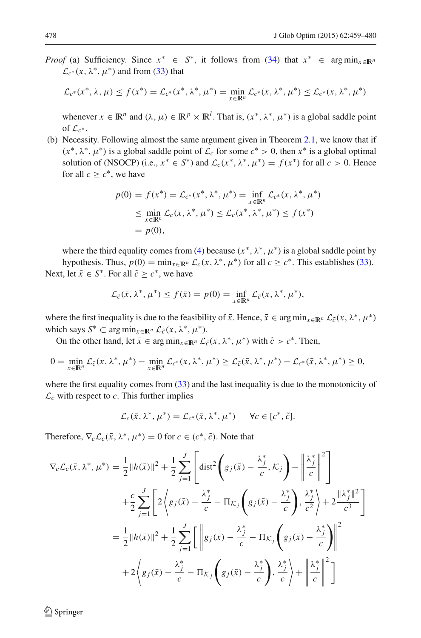*Proof* (a) Sufficiency. Since  $x^* \in S^*$ , it follows from [\(34\)](#page-17-2) that  $x^* \in \arg\min_{x \in \mathbb{R}^n}$  $\mathcal{L}_{c^*}(x, \lambda^*, \mu^*)$  and from [\(33\)](#page-17-2) that

$$
\mathcal{L}_{c^*}(x^*, \lambda, \mu) \le f(x^*) = \mathcal{L}_{c^*}(x^*, \lambda^*, \mu^*) = \min_{x \in \mathbb{R}^n} \mathcal{L}_{c^*}(x, \lambda^*, \mu^*) \le \mathcal{L}_{c^*}(x, \lambda^*, \mu^*)
$$

whenever  $x \in \mathbb{R}^n$  and  $(\lambda, \mu) \in \mathbb{R}^p \times \mathbb{R}^l$ . That is,  $(x^*, \lambda^*, \mu^*)$  is a global saddle point of  $\mathcal{L}_{c^*}$ .

(b) Necessity. Following almost the same argument given in Theorem [2.1,](#page-3-3) we know that if  $(x^*, \lambda^*, \mu^*)$  is a global saddle point of  $\mathcal{L}_c$  for some  $c^* > 0$ , then  $x^*$  is a global optimal solution of (NSOCP) (i.e.,  $x^* \in S^*$ ) and  $\mathcal{L}_c(x^*, \lambda^*, \mu^*) = f(x^*)$  for all  $c > 0$ . Hence for all  $c \geq c^*$ , we have

$$
p(0) = f(x^*) = \mathcal{L}_{c^*}(x^*, \lambda^*, \mu^*) = \inf_{x \in \mathbb{R}^n} \mathcal{L}_{c^*}(x, \lambda^*, \mu^*)
$$
  
\n
$$
\leq \min_{x \in \mathbb{R}^n} \mathcal{L}_c(x, \lambda^*, \mu^*) \leq \mathcal{L}_c(x^*, \lambda^*, \mu^*) \leq f(x^*)
$$
  
\n
$$
= p(0),
$$

where the third equality comes from [\(4\)](#page-3-2) because  $(x^*, \lambda^*, \mu^*)$  is a global saddle point by

hypothesis. Thus,  $p(0) = \min_{x \in \mathbb{R}^n} \mathcal{L}_c(x, \lambda^*, \mu^*)$  for all  $c \geq c^*$ . This establishes [\(33\)](#page-17-2). Next, let  $\bar{x} \in S^*$ . For all  $\tilde{c} > c^*$ , we have

$$
\mathcal{L}_{\tilde{c}}(\bar{x}, \lambda^*, \mu^*) \le f(\bar{x}) = p(0) = \inf_{x \in \mathbb{R}^n} \mathcal{L}_{\tilde{c}}(x, \lambda^*, \mu^*),
$$

where the first inequality is due to the feasibility of  $\bar{x}$ . Hence,  $\bar{x} \in \arg \min_{x \in \mathbb{R}^n} \mathcal{L}_{\tilde{c}}(x, \lambda^*, \mu^*)$ which says  $S^* \subset \arg\min_{x \in \mathbb{R}^n} \mathcal{L}_{\tilde{c}}(x, \lambda^*, \mu^*).$ 

On the other hand, let  $\bar{x} \in \arg \min_{x \in \mathbb{R}^n} \mathcal{L}_{\tilde{c}}(x, \lambda^*, \mu^*)$  with  $\tilde{c} > c^*$ . Then,

$$
0 = \min_{x \in \mathbb{R}^n} \mathcal{L}_{\tilde{c}}(x, \lambda^*, \mu^*) - \min_{x \in \mathbb{R}^n} \mathcal{L}_{c^*}(x, \lambda^*, \mu^*) \geq \mathcal{L}_{\tilde{c}}(\bar{x}, \lambda^*, \mu^*) - \mathcal{L}_{c^*}(\bar{x}, \lambda^*, \mu^*) \geq 0,
$$

where the first equality comes from  $(33)$  and the last inequality is due to the monotonicity of  $\mathcal{L}_c$  with respect to *c*. This further implies

$$
\mathcal{L}_c(\bar{x}, \lambda^*, \mu^*) = \mathcal{L}_{c^*}(\bar{x}, \lambda^*, \mu^*) \qquad \forall c \in [c^*, \tilde{c}].
$$

Therefore,  $\nabla_c \mathcal{L}_c(\bar{x}, \lambda^*, \mu^*) = 0$  for  $c \in (c^*, \tilde{c})$ . Note that

$$
\nabla_c \mathcal{L}_c(\bar{x}, \lambda^*, \mu^*) = \frac{1}{2} ||h(\bar{x})||^2 + \frac{1}{2} \sum_{j=1}^J \left[ \text{dist}^2 \left( g_j(\bar{x}) - \frac{\lambda_j^*}{c}, \mathcal{K}_j \right) - \left\| \frac{\lambda_j^*}{c} \right\|^2 \right] \n+ \frac{c}{2} \sum_{j=1}^J \left[ 2 \left\langle g_j(\bar{x}) - \frac{\lambda_j^*}{c} - \Pi_{\mathcal{K}_j} \left( g_j(\bar{x}) - \frac{\lambda_j^*}{c} \right), \frac{\lambda_j^*}{c^2} \right\rangle + 2 \frac{\|\lambda_j^*\|^2}{c^3} \right] \n= \frac{1}{2} ||h(\bar{x})||^2 + \frac{1}{2} \sum_{j=1}^J \left[ \left\| g_j(\bar{x}) - \frac{\lambda_j^*}{c} - \Pi_{\mathcal{K}_j} \left( g_j(\bar{x}) - \frac{\lambda_j^*}{c} \right) \right\|^2 \n+ 2 \left\langle g_j(\bar{x}) - \frac{\lambda_j^*}{c} - \Pi_{\mathcal{K}_j} \left( g_j(\bar{x}) - \frac{\lambda_j^*}{c} \right), \frac{\lambda_j^*}{c} \right\rangle + \left\| \frac{\lambda_j^*}{c} \right\|^2 \right]
$$

 $\circledcirc$  Springer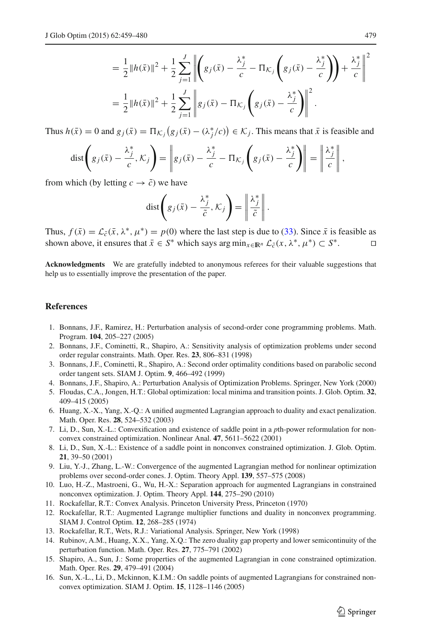$$
= \frac{1}{2} ||h(\bar{x})||^2 + \frac{1}{2} \sum_{j=1}^{J} \left\| \left( g_j(\bar{x}) - \frac{\lambda_j^*}{c} - \Pi_{\mathcal{K}_j} \left( g_j(\bar{x}) - \frac{\lambda_j^*}{c} \right) \right) + \frac{\lambda_j^*}{c} \right\|^2
$$
  
= 
$$
\frac{1}{2} ||h(\bar{x})||^2 + \frac{1}{2} \sum_{j=1}^{J} \left\| g_j(\bar{x}) - \Pi_{\mathcal{K}_j} \left( g_j(\bar{x}) - \frac{\lambda_j^*}{c} \right) \right\|^2.
$$

Thus  $h(\bar{x}) = 0$  and  $g_j(\bar{x}) = \prod_{\mathcal{K}_j} (g_j(\bar{x}) - (\lambda_j^*/c)) \in \mathcal{K}_j$ . This means that  $\bar{x}$  is feasible and

$$
\text{dist}\left(g_j(\bar{x})-\frac{\lambda_j^*}{c},\mathcal{K}_j\right)=\left\|g_j(\bar{x})-\frac{\lambda_j^*}{c}-\Pi_{\mathcal{K}_j}\left(g_j(\bar{x})-\frac{\lambda_j^*}{c}\right)\right\|=\left\|\frac{\lambda_j^*}{c}\right\|,
$$

from which (by letting  $c \rightarrow \tilde{c}$ ) we have

$$
\text{dist}\left(g_j(\bar{x}) - \frac{\lambda_j^*}{\tilde{c}}, \mathcal{K}_j\right) = \left\|\frac{\lambda_j^*}{\tilde{c}}\right\|.
$$

Thus,  $f(\bar{x}) = \mathcal{L}_{\bar{c}}(\bar{x}, \lambda^*, \mu^*) = p(0)$  where the last step is due to [\(33\)](#page-17-2). Since  $\bar{x}$  is feasible as shown above, it ensures that  $\bar{x} \in S^*$  which savs arg min<sub>x $\in \mathbb{R}^n$ ,  $\mathcal{L}_{\bar{c}}(x, \lambda^*, \mu^*) \subset S^*$ .</sub> shown above, it ensures that  $\bar{x} \in S^*$  which says arg  $\min_{x \in \mathbb{R}^n} \mathcal{L}_{\tilde{c}}(x, \lambda^*, \mu^*) \subset S^*$ .

**Acknowledgments** We are gratefully indebted to anonymous referees for their valuable suggestions that help us to essentially improve the presentation of the paper.

#### <span id="page-20-11"></span>**References**

- 1. Bonnans, J.F., Ramirez, H.: Perturbation analysis of second-order cone programming problems. Math. Program. **104**, 205–227 (2005)
- <span id="page-20-13"></span>2. Bonnans, J.F., Cominetti, R., Shapiro, A.: Sensitivity analysis of optimization problems under second order regular constraints. Math. Oper. Res. **23**, 806–831 (1998)
- <span id="page-20-14"></span>3. Bonnans, J.F., Cominetti, R., Shapiro, A.: Second order optimality conditions based on parabolic second order tangent sets. SIAM J. Optim. **9**, 466–492 (1999)
- <span id="page-20-10"></span>4. Bonnans, J.F., Shapiro, A.: Perturbation Analysis of Optimization Problems. Springer, New York (2000)
- <span id="page-20-3"></span>5. Floudas, C.A., Jongen, H.T.: Global optimization: local minima and transition points. J. Glob. Optim. **32**, 409–415 (2005)
- <span id="page-20-1"></span>6. Huang, X.-X., Yang, X.-Q.: A unified augmented Lagrangian approach to duality and exact penalization. Math. Oper. Res. **28**, 524–532 (2003)
- <span id="page-20-5"></span>7. Li, D., Sun, X.-L.: Convexification and existence of saddle point in a *p*th-power reformulation for nonconvex constrained optimization. Nonlinear Anal. **47**, 5611–5622 (2001)
- <span id="page-20-6"></span>8. Li, D., Sun, X.-L.: Existence of a saddle point in nonconvex constrained optimization. J. Glob. Optim. **21**, 39–50 (2001)
- 9. Liu, Y.-J., Zhang, L.-W.: Convergence of the augmented Lagrangian method for nonlinear optimization problems over second-order cones. J. Optim. Theory Appl. **139**, 557–575 (2008)
- <span id="page-20-8"></span><span id="page-20-7"></span>10. Luo, H.-Z., Mastroeni, G., Wu, H.-X.: Separation approach for augmented Lagrangians in constrained nonconvex optimization. J. Optim. Theory Appl. **144**, 275–290 (2010)
- <span id="page-20-15"></span>11. Rockafellar, R.T.: Convex Analysis. Princeton University Press, Princeton (1970)
- <span id="page-20-4"></span>12. Rockafellar, R.T.: Augmented Lagrange multiplier functions and duality in nonconvex programming. SIAM J. Control Optim. **12**, 268–285 (1974)
- <span id="page-20-0"></span>13. Rockafellar, R.T., Wets, R.J.: Variational Analysis. Springer, New York (1998)
- <span id="page-20-2"></span>14. Rubinov, A.M., Huang, X.X., Yang, X.Q.: The zero duality gap property and lower semicontinuity of the perturbation function. Math. Oper. Res. **27**, 775–791 (2002)
- <span id="page-20-12"></span>15. Shapiro, A., Sun, J.: Some properties of the augmented Lagrangian in cone constrained optimization. Math. Oper. Res. **29**, 479–491 (2004)
- <span id="page-20-9"></span>16. Sun, X.-L., Li, D., Mckinnon, K.I.M.: On saddle points of augmented Lagrangians for constrained nonconvex optimization. SIAM J. Optim. **15**, 1128–1146 (2005)